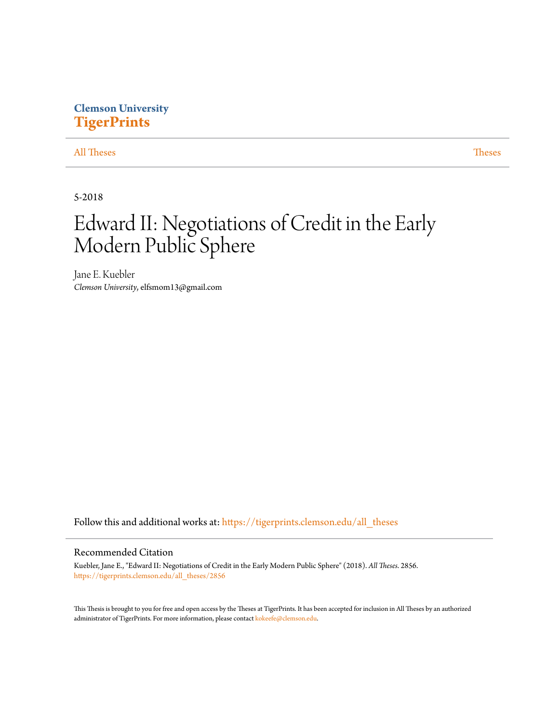# **Clemson University [TigerPrints](https://tigerprints.clemson.edu?utm_source=tigerprints.clemson.edu%2Fall_theses%2F2856&utm_medium=PDF&utm_campaign=PDFCoverPages)**

### [All Theses](https://tigerprints.clemson.edu/all_theses?utm_source=tigerprints.clemson.edu%2Fall_theses%2F2856&utm_medium=PDF&utm_campaign=PDFCoverPages) **[Theses](https://tigerprints.clemson.edu/theses?utm_source=tigerprints.clemson.edu%2Fall_theses%2F2856&utm_medium=PDF&utm_campaign=PDFCoverPages)**

5-2018

# Edward II: Negotiations of Credit in the Early Modern Public Sphere

Jane E. Kuebler *Clemson University*, elfsmom13@gmail.com

Follow this and additional works at: [https://tigerprints.clemson.edu/all\\_theses](https://tigerprints.clemson.edu/all_theses?utm_source=tigerprints.clemson.edu%2Fall_theses%2F2856&utm_medium=PDF&utm_campaign=PDFCoverPages)

#### Recommended Citation

Kuebler, Jane E., "Edward II: Negotiations of Credit in the Early Modern Public Sphere" (2018). *All Theses*. 2856. [https://tigerprints.clemson.edu/all\\_theses/2856](https://tigerprints.clemson.edu/all_theses/2856?utm_source=tigerprints.clemson.edu%2Fall_theses%2F2856&utm_medium=PDF&utm_campaign=PDFCoverPages)

This Thesis is brought to you for free and open access by the Theses at TigerPrints. It has been accepted for inclusion in All Theses by an authorized administrator of TigerPrints. For more information, please contact [kokeefe@clemson.edu](mailto:kokeefe@clemson.edu).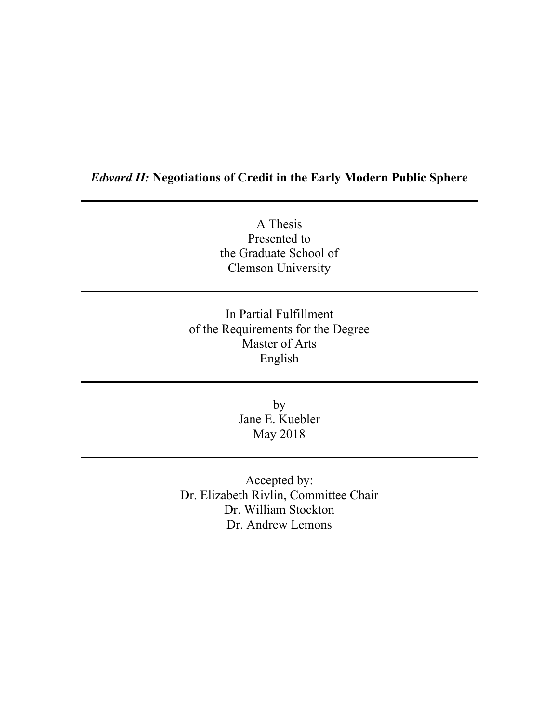# *Edward II:* **Negotiations of Credit in the Early Modern Public Sphere**

A Thesis Presented to the Graduate School of Clemson University

In Partial Fulfillment of the Requirements for the Degree Master of Arts English

> by Jane E. Kuebler May 2018

Accepted by: Dr. Elizabeth Rivlin, Committee Chair Dr. William Stockton Dr. Andrew Lemons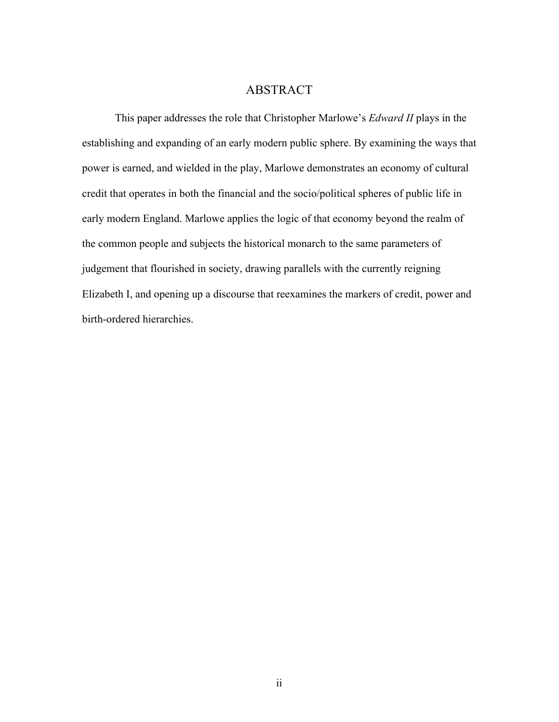## ABSTRACT

This paper addresses the role that Christopher Marlowe's *Edward II* plays in the establishing and expanding of an early modern public sphere. By examining the ways that power is earned, and wielded in the play, Marlowe demonstrates an economy of cultural credit that operates in both the financial and the socio/political spheres of public life in early modern England. Marlowe applies the logic of that economy beyond the realm of the common people and subjects the historical monarch to the same parameters of judgement that flourished in society, drawing parallels with the currently reigning Elizabeth I, and opening up a discourse that reexamines the markers of credit, power and birth-ordered hierarchies.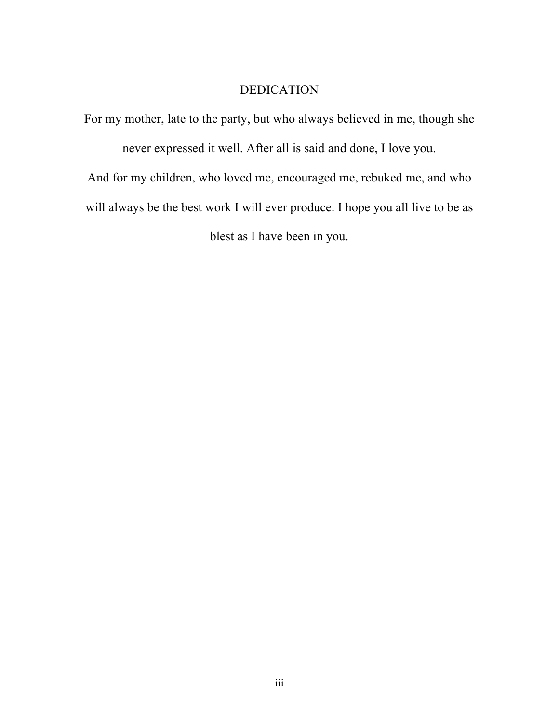# DEDICATION

For my mother, late to the party, but who always believed in me, though she never expressed it well. After all is said and done, I love you. And for my children, who loved me, encouraged me, rebuked me, and who will always be the best work I will ever produce. I hope you all live to be as blest as I have been in you.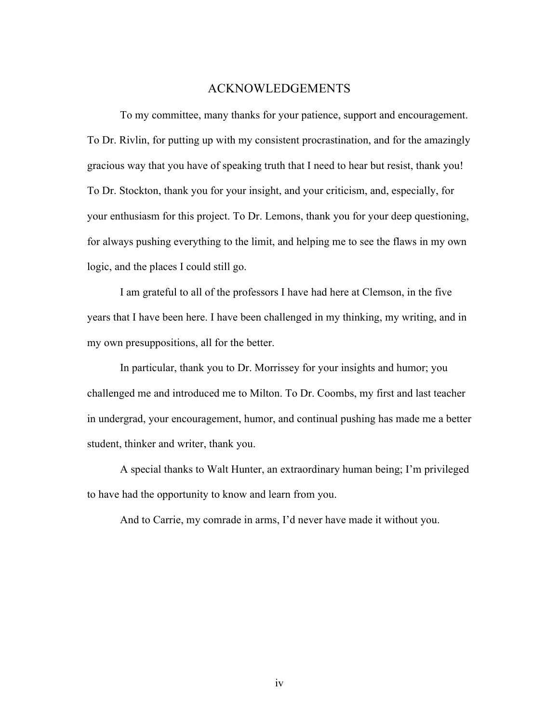### ACKNOWLEDGEMENTS

To my committee, many thanks for your patience, support and encouragement. To Dr. Rivlin, for putting up with my consistent procrastination, and for the amazingly gracious way that you have of speaking truth that I need to hear but resist, thank you! To Dr. Stockton, thank you for your insight, and your criticism, and, especially, for your enthusiasm for this project. To Dr. Lemons, thank you for your deep questioning, for always pushing everything to the limit, and helping me to see the flaws in my own logic, and the places I could still go.

I am grateful to all of the professors I have had here at Clemson, in the five years that I have been here. I have been challenged in my thinking, my writing, and in my own presuppositions, all for the better.

In particular, thank you to Dr. Morrissey for your insights and humor; you challenged me and introduced me to Milton. To Dr. Coombs, my first and last teacher in undergrad, your encouragement, humor, and continual pushing has made me a better student, thinker and writer, thank you.

A special thanks to Walt Hunter, an extraordinary human being; I'm privileged to have had the opportunity to know and learn from you.

And to Carrie, my comrade in arms, I'd never have made it without you.

iv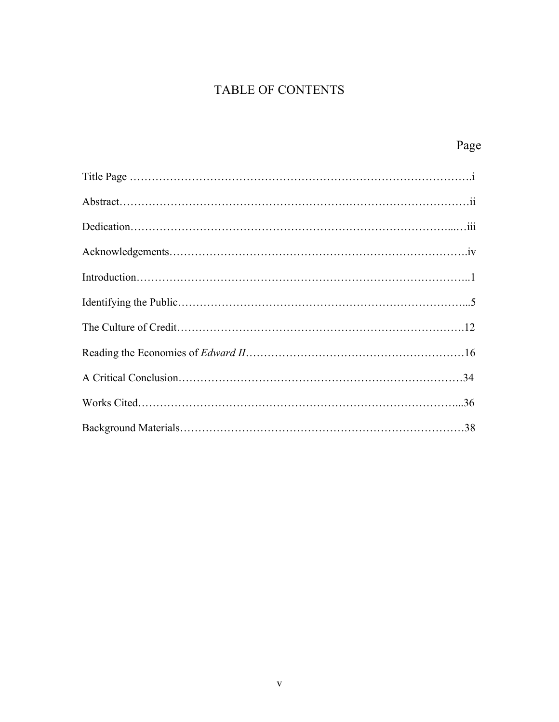# TABLE OF CONTENTS

| Page |
|------|
|      |
|      |
|      |
|      |
|      |
|      |
|      |
|      |
|      |
|      |
|      |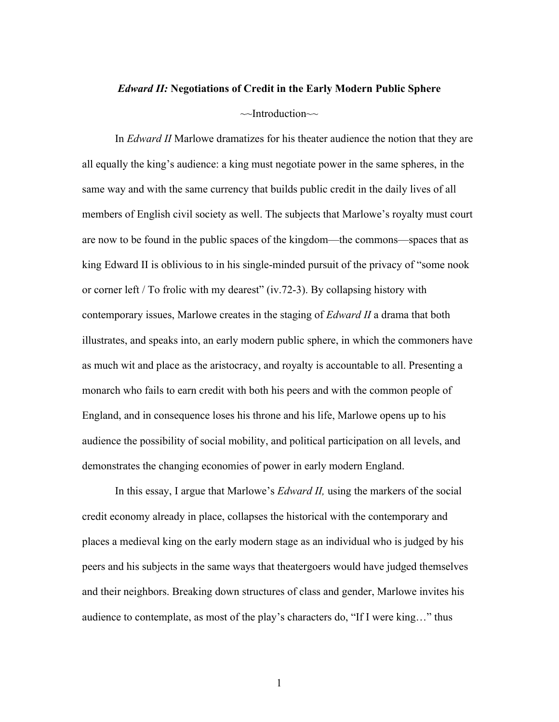#### *Edward II:* **Negotiations of Credit in the Early Modern Public Sphere**

#### $\sim$ Introduction $\sim$

In *Edward II* Marlowe dramatizes for his theater audience the notion that they are all equally the king's audience: a king must negotiate power in the same spheres, in the same way and with the same currency that builds public credit in the daily lives of all members of English civil society as well. The subjects that Marlowe's royalty must court are now to be found in the public spaces of the kingdom—the commons—spaces that as king Edward II is oblivious to in his single-minded pursuit of the privacy of "some nook or corner left / To frolic with my dearest" (iv.72-3). By collapsing history with contemporary issues, Marlowe creates in the staging of *Edward II* a drama that both illustrates, and speaks into, an early modern public sphere, in which the commoners have as much wit and place as the aristocracy, and royalty is accountable to all. Presenting a monarch who fails to earn credit with both his peers and with the common people of England, and in consequence loses his throne and his life, Marlowe opens up to his audience the possibility of social mobility, and political participation on all levels, and demonstrates the changing economies of power in early modern England.

In this essay, I argue that Marlowe's *Edward II,* using the markers of the social credit economy already in place, collapses the historical with the contemporary and places a medieval king on the early modern stage as an individual who is judged by his peers and his subjects in the same ways that theatergoers would have judged themselves and their neighbors. Breaking down structures of class and gender, Marlowe invites his audience to contemplate, as most of the play's characters do, "If I were king…" thus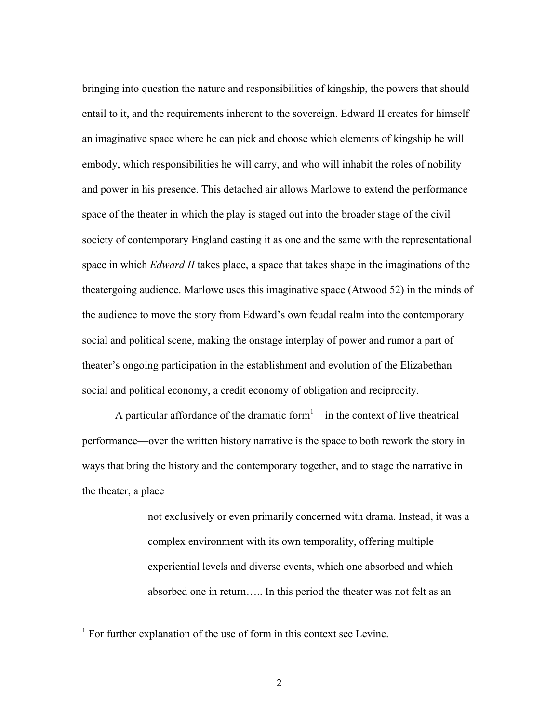bringing into question the nature and responsibilities of kingship, the powers that should entail to it, and the requirements inherent to the sovereign. Edward II creates for himself an imaginative space where he can pick and choose which elements of kingship he will embody, which responsibilities he will carry, and who will inhabit the roles of nobility and power in his presence. This detached air allows Marlowe to extend the performance space of the theater in which the play is staged out into the broader stage of the civil society of contemporary England casting it as one and the same with the representational space in which *Edward II* takes place, a space that takes shape in the imaginations of the theatergoing audience. Marlowe uses this imaginative space (Atwood 52) in the minds of the audience to move the story from Edward's own feudal realm into the contemporary social and political scene, making the onstage interplay of power and rumor a part of theater's ongoing participation in the establishment and evolution of the Elizabethan social and political economy, a credit economy of obligation and reciprocity.

A particular affordance of the dramatic form $<sup>1</sup>$ —in the context of live theatrical</sup> performance—over the written history narrative is the space to both rework the story in ways that bring the history and the contemporary together, and to stage the narrative in the theater, a place

> not exclusively or even primarily concerned with drama. Instead, it was a complex environment with its own temporality, offering multiple experiential levels and diverse events, which one absorbed and which absorbed one in return….. In this period the theater was not felt as an

<sup>&</sup>lt;sup>1</sup> For further explanation of the use of form in this context see Levine.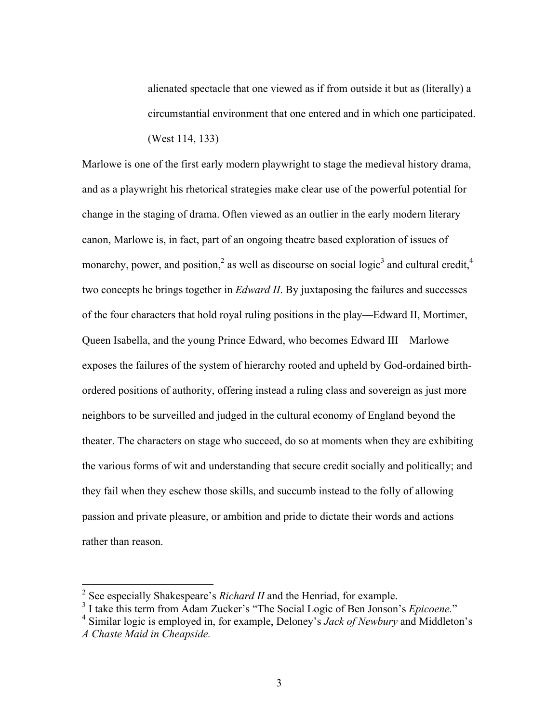alienated spectacle that one viewed as if from outside it but as (literally) a circumstantial environment that one entered and in which one participated. (West 114, 133)

Marlowe is one of the first early modern playwright to stage the medieval history drama, and as a playwright his rhetorical strategies make clear use of the powerful potential for change in the staging of drama. Often viewed as an outlier in the early modern literary canon, Marlowe is, in fact, part of an ongoing theatre based exploration of issues of monarchy, power, and position,<sup>2</sup> as well as discourse on social logic<sup>3</sup> and cultural credit,<sup>4</sup> two concepts he brings together in *Edward II*. By juxtaposing the failures and successes of the four characters that hold royal ruling positions in the play—Edward II, Mortimer, Queen Isabella, and the young Prince Edward, who becomes Edward III—Marlowe exposes the failures of the system of hierarchy rooted and upheld by God-ordained birthordered positions of authority, offering instead a ruling class and sovereign as just more neighbors to be surveilled and judged in the cultural economy of England beyond the theater. The characters on stage who succeed, do so at moments when they are exhibiting the various forms of wit and understanding that secure credit socially and politically; and they fail when they eschew those skills, and succumb instead to the folly of allowing passion and private pleasure, or ambition and pride to dictate their words and actions rather than reason.

<sup>&</sup>lt;sup>2</sup> See especially Shakespeare's *Richard II* and the Henriad, for example.<br><sup>3</sup> I take this term from Adam Zucker's "The Social Logic of Ben Jonson's *Epicoene*."

<sup>&</sup>lt;sup>4</sup> Similar logic is employed in, for example, Deloney's *Jack of Newbury* and Middleton's *A Chaste Maid in Cheapside.*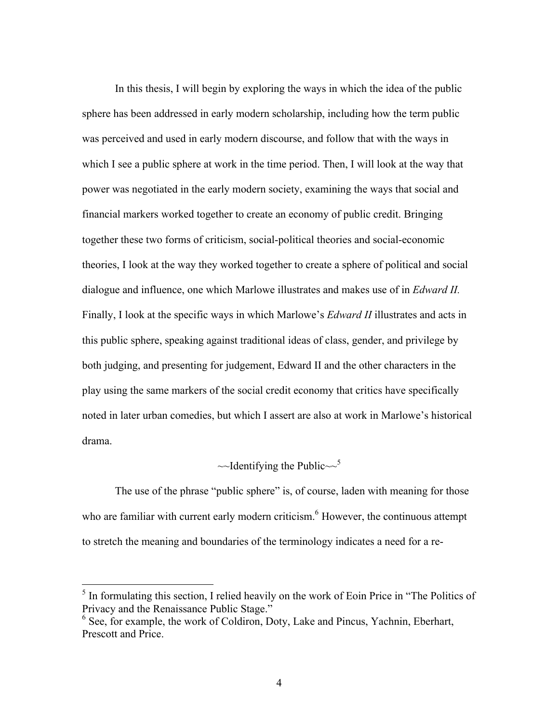In this thesis, I will begin by exploring the ways in which the idea of the public sphere has been addressed in early modern scholarship, including how the term public was perceived and used in early modern discourse, and follow that with the ways in which I see a public sphere at work in the time period. Then, I will look at the way that power was negotiated in the early modern society, examining the ways that social and financial markers worked together to create an economy of public credit. Bringing together these two forms of criticism, social-political theories and social-economic theories, I look at the way they worked together to create a sphere of political and social dialogue and influence, one which Marlowe illustrates and makes use of in *Edward II.*  Finally, I look at the specific ways in which Marlowe's *Edward II* illustrates and acts in this public sphere, speaking against traditional ideas of class, gender, and privilege by both judging, and presenting for judgement, Edward II and the other characters in the play using the same markers of the social credit economy that critics have specifically noted in later urban comedies, but which I assert are also at work in Marlowe's historical drama.

# $\sim$ Identifying the Public $\sim$ <sup>5</sup>

The use of the phrase "public sphere" is, of course, laden with meaning for those who are familiar with current early modern criticism.<sup>6</sup> However, the continuous attempt to stretch the meaning and boundaries of the terminology indicates a need for a re-

 $<sup>5</sup>$  In formulating this section, I relied heavily on the work of Eoin Price in "The Politics of Privacy and the Renaissance Public Stage."</sup>

 $\delta$  See, for example, the work of Coldiron, Doty, Lake and Pincus, Yachnin, Eberhart, Prescott and Price.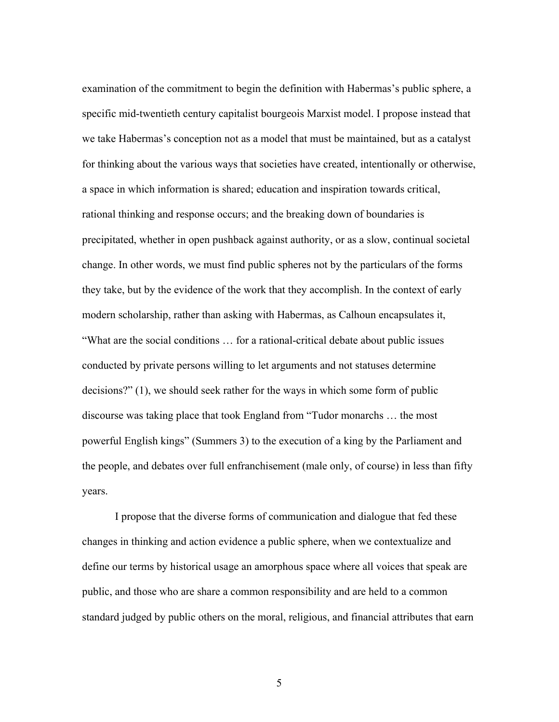examination of the commitment to begin the definition with Habermas's public sphere, a specific mid-twentieth century capitalist bourgeois Marxist model. I propose instead that we take Habermas's conception not as a model that must be maintained, but as a catalyst for thinking about the various ways that societies have created, intentionally or otherwise, a space in which information is shared; education and inspiration towards critical, rational thinking and response occurs; and the breaking down of boundaries is precipitated, whether in open pushback against authority, or as a slow, continual societal change. In other words, we must find public spheres not by the particulars of the forms they take, but by the evidence of the work that they accomplish. In the context of early modern scholarship, rather than asking with Habermas, as Calhoun encapsulates it, "What are the social conditions … for a rational-critical debate about public issues conducted by private persons willing to let arguments and not statuses determine decisions?" (1), we should seek rather for the ways in which some form of public discourse was taking place that took England from "Tudor monarchs … the most powerful English kings" (Summers 3) to the execution of a king by the Parliament and the people, and debates over full enfranchisement (male only, of course) in less than fifty years.

I propose that the diverse forms of communication and dialogue that fed these changes in thinking and action evidence a public sphere, when we contextualize and define our terms by historical usage an amorphous space where all voices that speak are public, and those who are share a common responsibility and are held to a common standard judged by public others on the moral, religious, and financial attributes that earn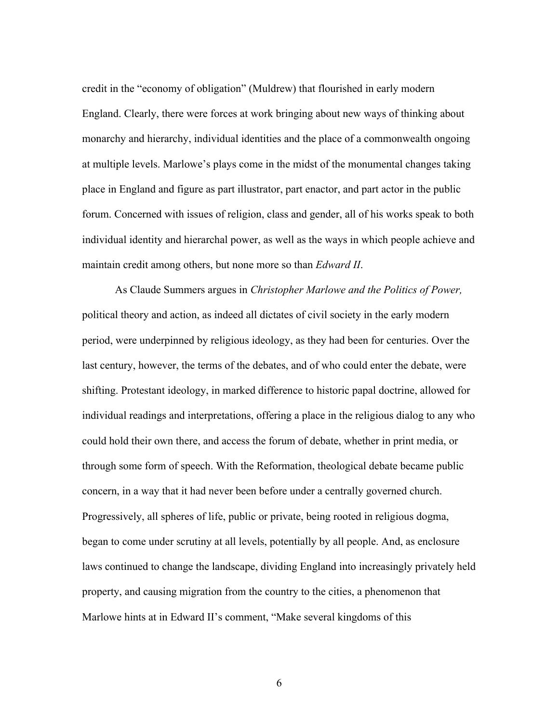credit in the "economy of obligation" (Muldrew) that flourished in early modern England. Clearly, there were forces at work bringing about new ways of thinking about monarchy and hierarchy, individual identities and the place of a commonwealth ongoing at multiple levels. Marlowe's plays come in the midst of the monumental changes taking place in England and figure as part illustrator, part enactor, and part actor in the public forum. Concerned with issues of religion, class and gender, all of his works speak to both individual identity and hierarchal power, as well as the ways in which people achieve and maintain credit among others, but none more so than *Edward II*.

As Claude Summers argues in *Christopher Marlowe and the Politics of Power,*  political theory and action, as indeed all dictates of civil society in the early modern period, were underpinned by religious ideology, as they had been for centuries. Over the last century, however, the terms of the debates, and of who could enter the debate, were shifting. Protestant ideology, in marked difference to historic papal doctrine, allowed for individual readings and interpretations, offering a place in the religious dialog to any who could hold their own there, and access the forum of debate, whether in print media, or through some form of speech. With the Reformation, theological debate became public concern, in a way that it had never been before under a centrally governed church. Progressively, all spheres of life, public or private, being rooted in religious dogma, began to come under scrutiny at all levels, potentially by all people. And, as enclosure laws continued to change the landscape, dividing England into increasingly privately held property, and causing migration from the country to the cities, a phenomenon that Marlowe hints at in Edward II's comment, "Make several kingdoms of this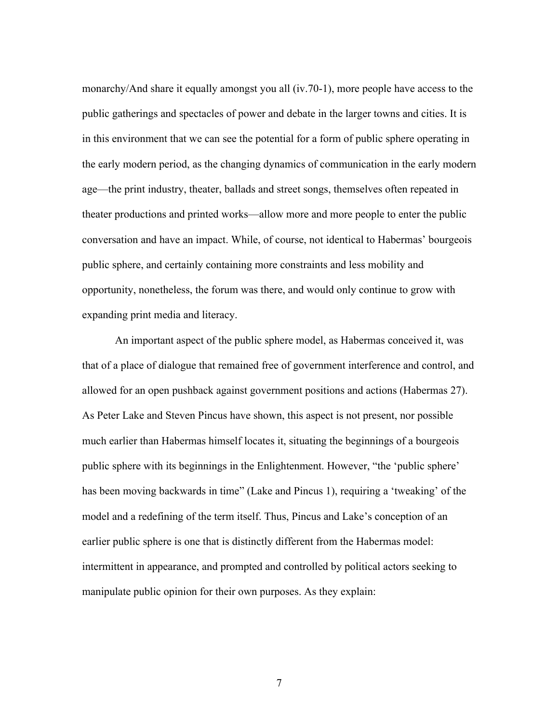monarchy/And share it equally amongst you all (iv.70-1), more people have access to the public gatherings and spectacles of power and debate in the larger towns and cities. It is in this environment that we can see the potential for a form of public sphere operating in the early modern period, as the changing dynamics of communication in the early modern age—the print industry, theater, ballads and street songs, themselves often repeated in theater productions and printed works—allow more and more people to enter the public conversation and have an impact. While, of course, not identical to Habermas' bourgeois public sphere, and certainly containing more constraints and less mobility and opportunity, nonetheless, the forum was there, and would only continue to grow with expanding print media and literacy.

An important aspect of the public sphere model, as Habermas conceived it, was that of a place of dialogue that remained free of government interference and control, and allowed for an open pushback against government positions and actions (Habermas 27). As Peter Lake and Steven Pincus have shown, this aspect is not present, nor possible much earlier than Habermas himself locates it, situating the beginnings of a bourgeois public sphere with its beginnings in the Enlightenment. However, "the 'public sphere' has been moving backwards in time" (Lake and Pincus 1), requiring a 'tweaking' of the model and a redefining of the term itself. Thus, Pincus and Lake's conception of an earlier public sphere is one that is distinctly different from the Habermas model: intermittent in appearance, and prompted and controlled by political actors seeking to manipulate public opinion for their own purposes. As they explain: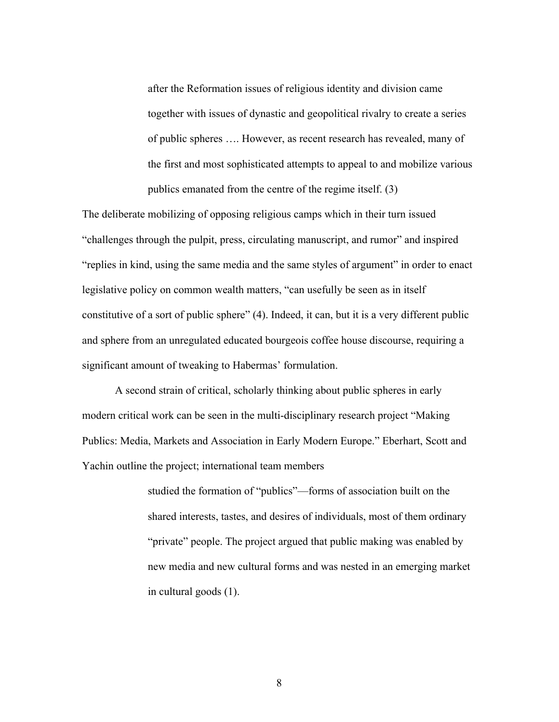after the Reformation issues of religious identity and division came together with issues of dynastic and geopolitical rivalry to create a series of public spheres …. However, as recent research has revealed, many of the first and most sophisticated attempts to appeal to and mobilize various publics emanated from the centre of the regime itself. (3)

The deliberate mobilizing of opposing religious camps which in their turn issued "challenges through the pulpit, press, circulating manuscript, and rumor" and inspired "replies in kind, using the same media and the same styles of argument" in order to enact legislative policy on common wealth matters, "can usefully be seen as in itself constitutive of a sort of public sphere" (4). Indeed, it can, but it is a very different public and sphere from an unregulated educated bourgeois coffee house discourse, requiring a significant amount of tweaking to Habermas' formulation.

A second strain of critical, scholarly thinking about public spheres in early modern critical work can be seen in the multi-disciplinary research project "Making Publics: Media, Markets and Association in Early Modern Europe." Eberhart, Scott and Yachin outline the project; international team members

> studied the formation of "publics"—forms of association built on the shared interests, tastes, and desires of individuals, most of them ordinary "private" people. The project argued that public making was enabled by new media and new cultural forms and was nested in an emerging market in cultural goods (1).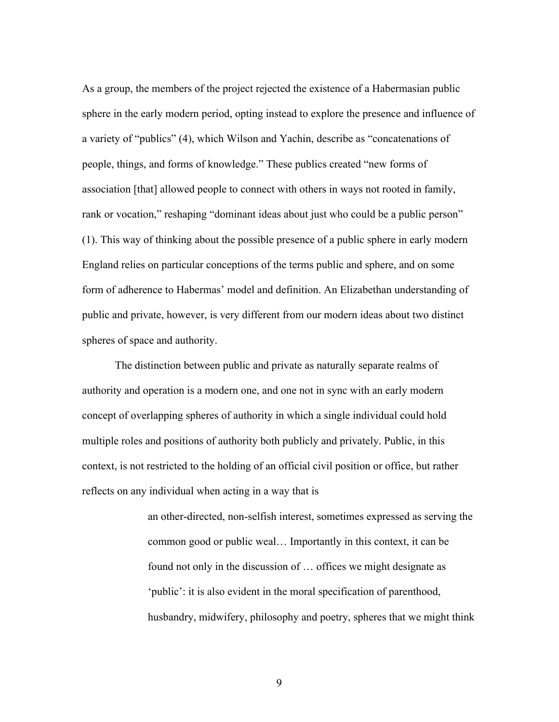As a group, the members of the project rejected the existence of a Habermasian public sphere in the early modern period, opting instead to explore the presence and influence of a variety of "publics" (4), which Wilson and Yachin, describe as "concatenations of people, things, and forms of knowledge." These publics created "new forms of association [that] allowed people to connect with others in ways not rooted in family, rank or vocation," reshaping "dominant ideas about just who could be a public person" (1). This way of thinking about the possible presence of a public sphere in early modern England relies on particular conceptions of the terms public and sphere, and on some form of adherence to Habermas' model and definition. An Elizabethan understanding of public and private, however, is very different from our modern ideas about two distinct spheres of space and authority.

The distinction between public and private as naturally separate realms of authority and operation is a modern one, and one not in sync with an early modern concept of overlapping spheres of authority in which a single individual could hold multiple roles and positions of authority both publicly and privately. Public, in this context, is not restricted to the holding of an official civil position or office, but rather reflects on any individual when acting in a way that is

> an other-directed, non-selfish interest, sometimes expressed as serving the common good or public weal… Importantly in this context, it can be found not only in the discussion of … offices we might designate as 'public': it is also evident in the moral specification of parenthood, husbandry, midwifery, philosophy and poetry, spheres that we might think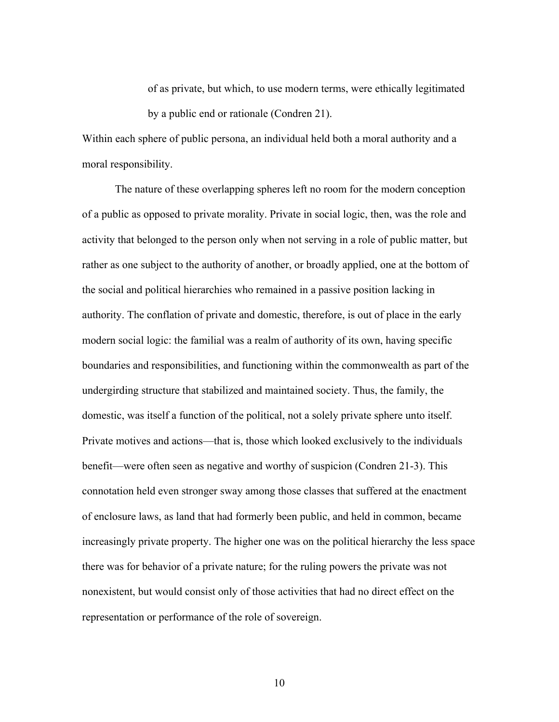of as private, but which, to use modern terms, were ethically legitimated by a public end or rationale (Condren 21).

Within each sphere of public persona, an individual held both a moral authority and a moral responsibility.

The nature of these overlapping spheres left no room for the modern conception of a public as opposed to private morality. Private in social logic, then, was the role and activity that belonged to the person only when not serving in a role of public matter, but rather as one subject to the authority of another, or broadly applied, one at the bottom of the social and political hierarchies who remained in a passive position lacking in authority. The conflation of private and domestic, therefore, is out of place in the early modern social logic: the familial was a realm of authority of its own, having specific boundaries and responsibilities, and functioning within the commonwealth as part of the undergirding structure that stabilized and maintained society. Thus, the family, the domestic, was itself a function of the political, not a solely private sphere unto itself. Private motives and actions—that is, those which looked exclusively to the individuals benefit—were often seen as negative and worthy of suspicion (Condren 21-3). This connotation held even stronger sway among those classes that suffered at the enactment of enclosure laws, as land that had formerly been public, and held in common, became increasingly private property. The higher one was on the political hierarchy the less space there was for behavior of a private nature; for the ruling powers the private was not nonexistent, but would consist only of those activities that had no direct effect on the representation or performance of the role of sovereign.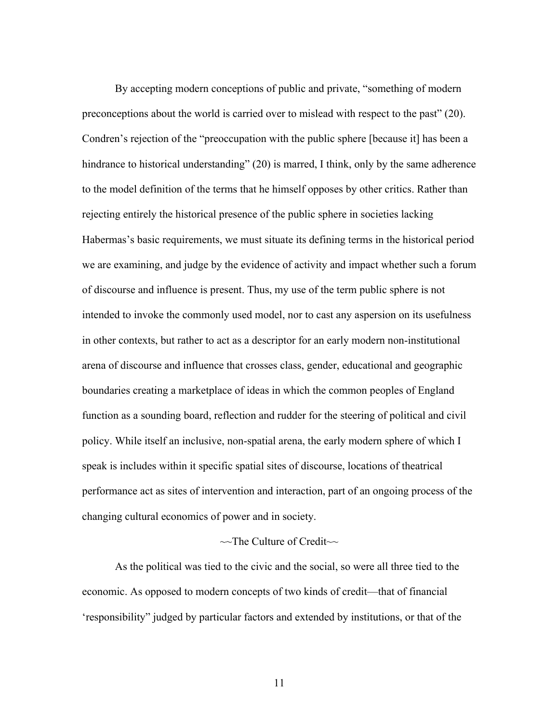By accepting modern conceptions of public and private, "something of modern preconceptions about the world is carried over to mislead with respect to the past" (20). Condren's rejection of the "preoccupation with the public sphere [because it] has been a hindrance to historical understanding" (20) is marred, I think, only by the same adherence to the model definition of the terms that he himself opposes by other critics. Rather than rejecting entirely the historical presence of the public sphere in societies lacking Habermas's basic requirements, we must situate its defining terms in the historical period we are examining, and judge by the evidence of activity and impact whether such a forum of discourse and influence is present. Thus, my use of the term public sphere is not intended to invoke the commonly used model, nor to cast any aspersion on its usefulness in other contexts, but rather to act as a descriptor for an early modern non-institutional arena of discourse and influence that crosses class, gender, educational and geographic boundaries creating a marketplace of ideas in which the common peoples of England function as a sounding board, reflection and rudder for the steering of political and civil policy. While itself an inclusive, non-spatial arena, the early modern sphere of which I speak is includes within it specific spatial sites of discourse, locations of theatrical performance act as sites of intervention and interaction, part of an ongoing process of the changing cultural economics of power and in society.

### ~~The Culture of Credit~~

As the political was tied to the civic and the social, so were all three tied to the economic. As opposed to modern concepts of two kinds of credit—that of financial 'responsibility" judged by particular factors and extended by institutions, or that of the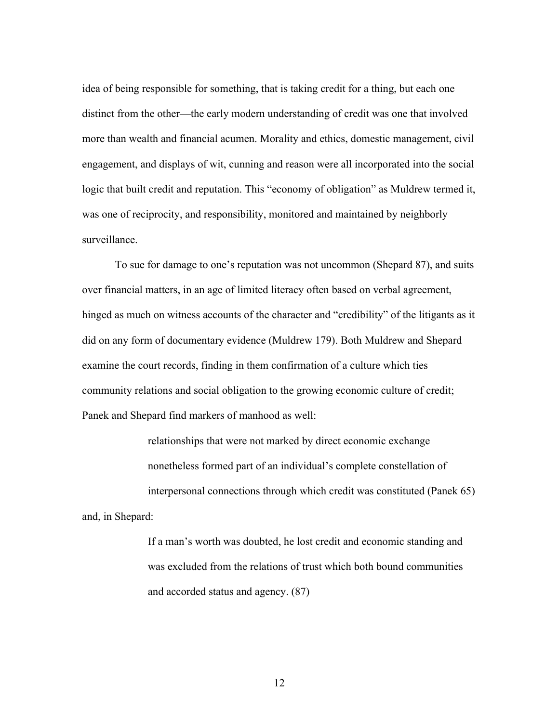idea of being responsible for something, that is taking credit for a thing, but each one distinct from the other—the early modern understanding of credit was one that involved more than wealth and financial acumen. Morality and ethics, domestic management, civil engagement, and displays of wit, cunning and reason were all incorporated into the social logic that built credit and reputation. This "economy of obligation" as Muldrew termed it, was one of reciprocity, and responsibility, monitored and maintained by neighborly surveillance.

To sue for damage to one's reputation was not uncommon (Shepard 87), and suits over financial matters, in an age of limited literacy often based on verbal agreement, hinged as much on witness accounts of the character and "credibility" of the litigants as it did on any form of documentary evidence (Muldrew 179). Both Muldrew and Shepard examine the court records, finding in them confirmation of a culture which ties community relations and social obligation to the growing economic culture of credit; Panek and Shepard find markers of manhood as well:

relationships that were not marked by direct economic exchange nonetheless formed part of an individual's complete constellation of interpersonal connections through which credit was constituted (Panek 65) and, in Shepard:

> If a man's worth was doubted, he lost credit and economic standing and was excluded from the relations of trust which both bound communities and accorded status and agency. (87)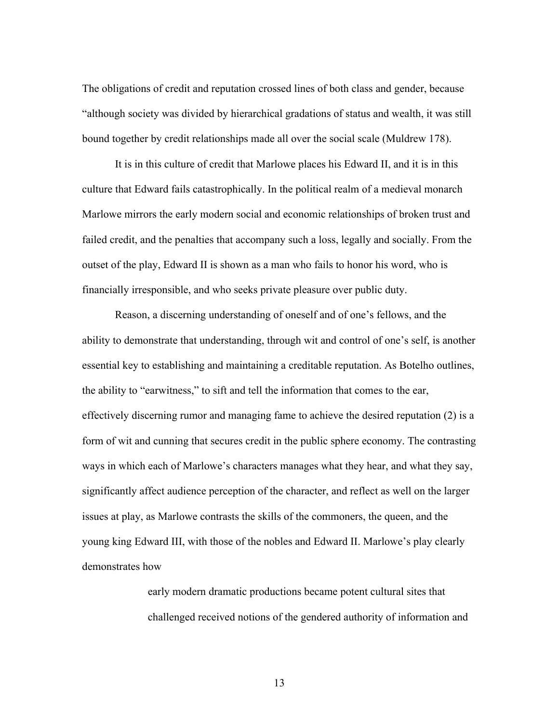The obligations of credit and reputation crossed lines of both class and gender, because "although society was divided by hierarchical gradations of status and wealth, it was still bound together by credit relationships made all over the social scale (Muldrew 178).

It is in this culture of credit that Marlowe places his Edward II, and it is in this culture that Edward fails catastrophically. In the political realm of a medieval monarch Marlowe mirrors the early modern social and economic relationships of broken trust and failed credit, and the penalties that accompany such a loss, legally and socially. From the outset of the play, Edward II is shown as a man who fails to honor his word, who is financially irresponsible, and who seeks private pleasure over public duty.

Reason, a discerning understanding of oneself and of one's fellows, and the ability to demonstrate that understanding, through wit and control of one's self, is another essential key to establishing and maintaining a creditable reputation. As Botelho outlines, the ability to "earwitness," to sift and tell the information that comes to the ear, effectively discerning rumor and managing fame to achieve the desired reputation (2) is a form of wit and cunning that secures credit in the public sphere economy. The contrasting ways in which each of Marlowe's characters manages what they hear, and what they say, significantly affect audience perception of the character, and reflect as well on the larger issues at play, as Marlowe contrasts the skills of the commoners, the queen, and the young king Edward III, with those of the nobles and Edward II. Marlowe's play clearly demonstrates how

> early modern dramatic productions became potent cultural sites that challenged received notions of the gendered authority of information and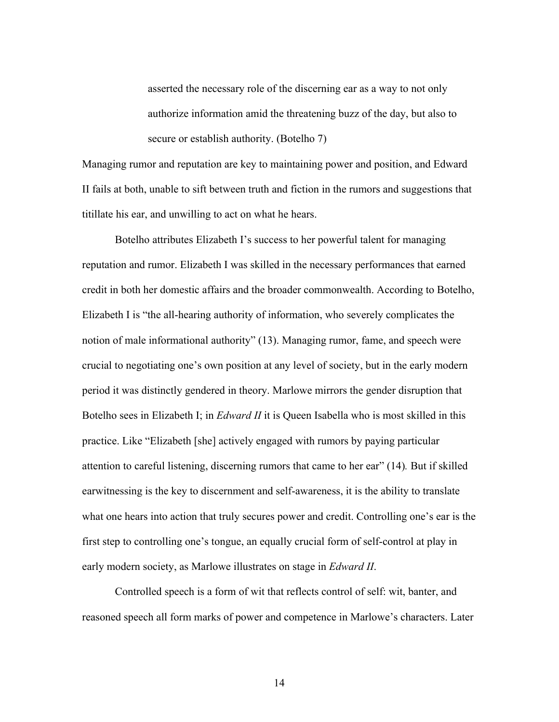asserted the necessary role of the discerning ear as a way to not only authorize information amid the threatening buzz of the day, but also to secure or establish authority. (Botelho 7)

Managing rumor and reputation are key to maintaining power and position, and Edward II fails at both, unable to sift between truth and fiction in the rumors and suggestions that titillate his ear, and unwilling to act on what he hears.

Botelho attributes Elizabeth I's success to her powerful talent for managing reputation and rumor. Elizabeth I was skilled in the necessary performances that earned credit in both her domestic affairs and the broader commonwealth. According to Botelho, Elizabeth I is "the all-hearing authority of information, who severely complicates the notion of male informational authority" (13). Managing rumor, fame, and speech were crucial to negotiating one's own position at any level of society, but in the early modern period it was distinctly gendered in theory. Marlowe mirrors the gender disruption that Botelho sees in Elizabeth I; in *Edward II* it is Queen Isabella who is most skilled in this practice. Like "Elizabeth [she] actively engaged with rumors by paying particular attention to careful listening, discerning rumors that came to her ear" (14)*.* But if skilled earwitnessing is the key to discernment and self-awareness, it is the ability to translate what one hears into action that truly secures power and credit. Controlling one's ear is the first step to controlling one's tongue, an equally crucial form of self-control at play in early modern society, as Marlowe illustrates on stage in *Edward II*.

Controlled speech is a form of wit that reflects control of self: wit, banter, and reasoned speech all form marks of power and competence in Marlowe's characters. Later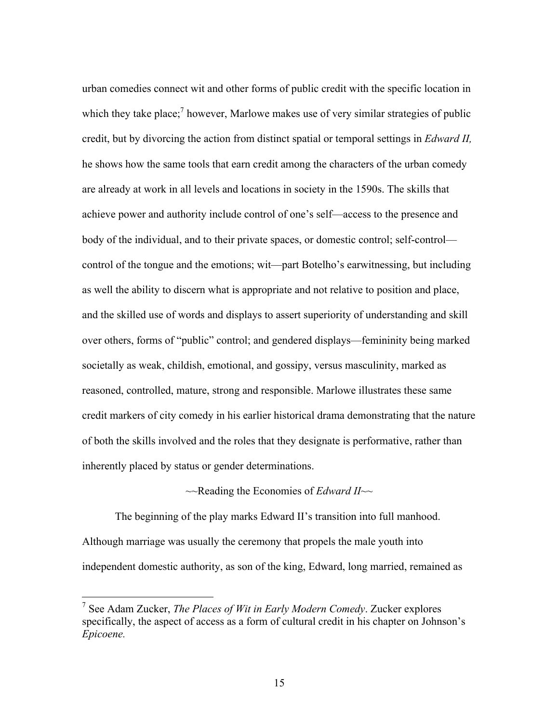urban comedies connect wit and other forms of public credit with the specific location in which they take place;<sup>7</sup> however, Marlowe makes use of very similar strategies of public credit, but by divorcing the action from distinct spatial or temporal settings in *Edward II,*  he shows how the same tools that earn credit among the characters of the urban comedy are already at work in all levels and locations in society in the 1590s. The skills that achieve power and authority include control of one's self—access to the presence and body of the individual, and to their private spaces, or domestic control; self-control control of the tongue and the emotions; wit—part Botelho's earwitnessing, but including as well the ability to discern what is appropriate and not relative to position and place, and the skilled use of words and displays to assert superiority of understanding and skill over others, forms of "public" control; and gendered displays—femininity being marked societally as weak, childish, emotional, and gossipy, versus masculinity, marked as reasoned, controlled, mature, strong and responsible. Marlowe illustrates these same credit markers of city comedy in his earlier historical drama demonstrating that the nature of both the skills involved and the roles that they designate is performative, rather than inherently placed by status or gender determinations.

~~Reading the Economies of *Edward II*~~

The beginning of the play marks Edward II's transition into full manhood. Although marriage was usually the ceremony that propels the male youth into independent domestic authority, as son of the king, Edward, long married, remained as

 <sup>7</sup> See Adam Zucker, *The Places of Wit in Early Modern Comedy*. Zucker explores specifically, the aspect of access as a form of cultural credit in his chapter on Johnson's *Epicoene.*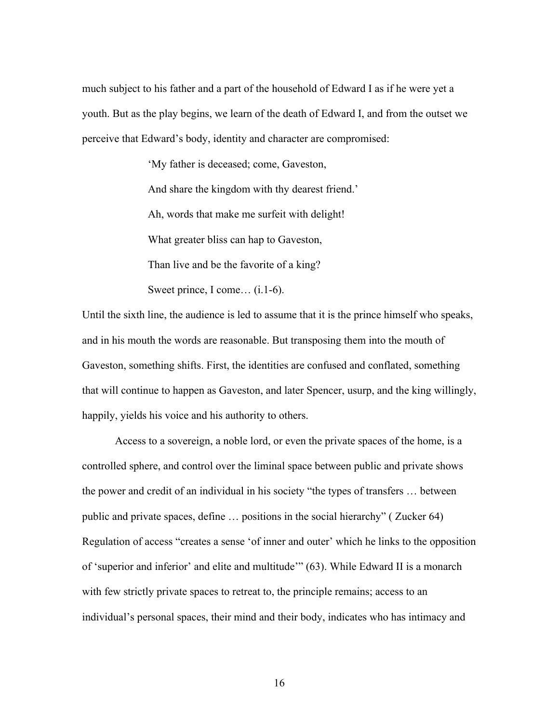much subject to his father and a part of the household of Edward I as if he were yet a youth. But as the play begins, we learn of the death of Edward I, and from the outset we perceive that Edward's body, identity and character are compromised:

> 'My father is deceased; come, Gaveston, And share the kingdom with thy dearest friend.' Ah, words that make me surfeit with delight! What greater bliss can hap to Gaveston, Than live and be the favorite of a king? Sweet prince, I come... (i.1-6).

Until the sixth line, the audience is led to assume that it is the prince himself who speaks, and in his mouth the words are reasonable. But transposing them into the mouth of Gaveston, something shifts. First, the identities are confused and conflated, something that will continue to happen as Gaveston, and later Spencer, usurp, and the king willingly, happily, yields his voice and his authority to others.

Access to a sovereign, a noble lord, or even the private spaces of the home, is a controlled sphere, and control over the liminal space between public and private shows the power and credit of an individual in his society "the types of transfers … between public and private spaces, define … positions in the social hierarchy" ( Zucker 64) Regulation of access "creates a sense 'of inner and outer' which he links to the opposition of 'superior and inferior' and elite and multitude'" (63). While Edward II is a monarch with few strictly private spaces to retreat to, the principle remains; access to an individual's personal spaces, their mind and their body, indicates who has intimacy and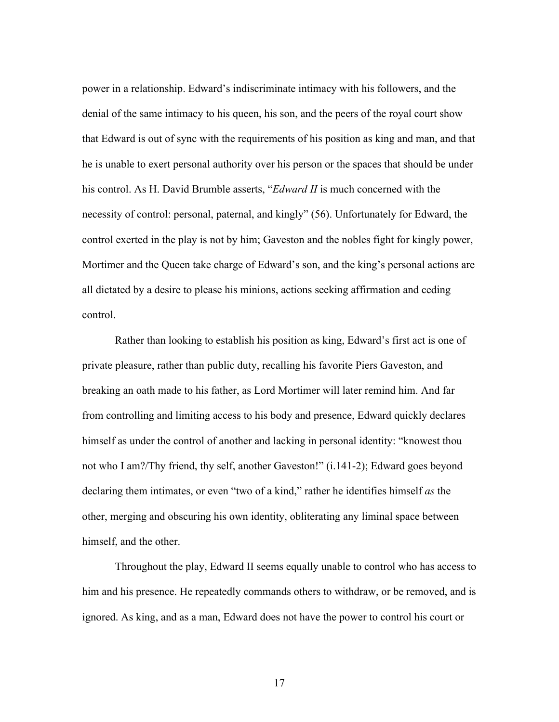power in a relationship. Edward's indiscriminate intimacy with his followers, and the denial of the same intimacy to his queen, his son, and the peers of the royal court show that Edward is out of sync with the requirements of his position as king and man, and that he is unable to exert personal authority over his person or the spaces that should be under his control. As H. David Brumble asserts, "*Edward II* is much concerned with the necessity of control: personal, paternal, and kingly" (56). Unfortunately for Edward, the control exerted in the play is not by him; Gaveston and the nobles fight for kingly power, Mortimer and the Queen take charge of Edward's son, and the king's personal actions are all dictated by a desire to please his minions, actions seeking affirmation and ceding control.

Rather than looking to establish his position as king, Edward's first act is one of private pleasure, rather than public duty, recalling his favorite Piers Gaveston, and breaking an oath made to his father, as Lord Mortimer will later remind him. And far from controlling and limiting access to his body and presence, Edward quickly declares himself as under the control of another and lacking in personal identity: "knowest thou not who I am?/Thy friend, thy self, another Gaveston!" (i.141-2); Edward goes beyond declaring them intimates, or even "two of a kind," rather he identifies himself *as* the other, merging and obscuring his own identity, obliterating any liminal space between himself, and the other.

Throughout the play, Edward II seems equally unable to control who has access to him and his presence. He repeatedly commands others to withdraw, or be removed, and is ignored. As king, and as a man, Edward does not have the power to control his court or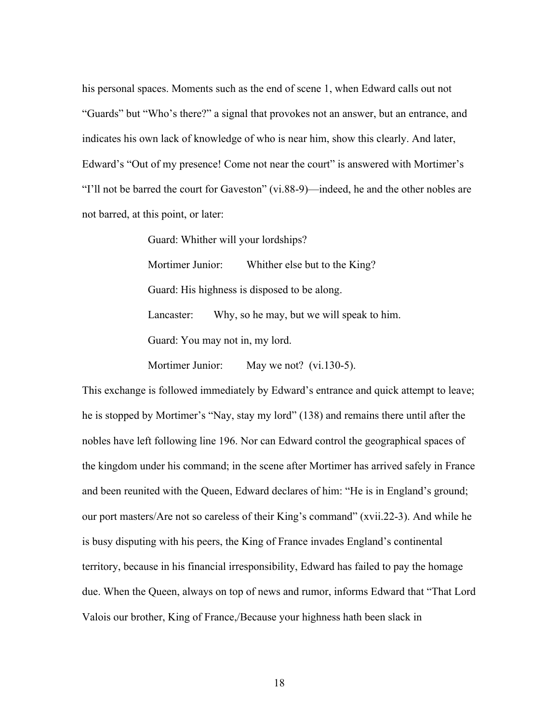his personal spaces. Moments such as the end of scene 1, when Edward calls out not "Guards" but "Who's there?" a signal that provokes not an answer, but an entrance, and indicates his own lack of knowledge of who is near him, show this clearly. And later, Edward's "Out of my presence! Come not near the court" is answered with Mortimer's "I'll not be barred the court for Gaveston" (vi.88-9)—indeed, he and the other nobles are not barred, at this point, or later:

Guard: Whither will your lordships?

Mortimer Junior: Whither else but to the King? Guard: His highness is disposed to be along. Lancaster: Why, so he may, but we will speak to him. Guard: You may not in, my lord.

Mortimer Junior: May we not? (vi.130-5).

This exchange is followed immediately by Edward's entrance and quick attempt to leave; he is stopped by Mortimer's "Nay, stay my lord" (138) and remains there until after the nobles have left following line 196. Nor can Edward control the geographical spaces of the kingdom under his command; in the scene after Mortimer has arrived safely in France and been reunited with the Queen, Edward declares of him: "He is in England's ground; our port masters/Are not so careless of their King's command" (xvii.22-3). And while he is busy disputing with his peers, the King of France invades England's continental territory, because in his financial irresponsibility, Edward has failed to pay the homage due. When the Queen, always on top of news and rumor, informs Edward that "That Lord Valois our brother, King of France,/Because your highness hath been slack in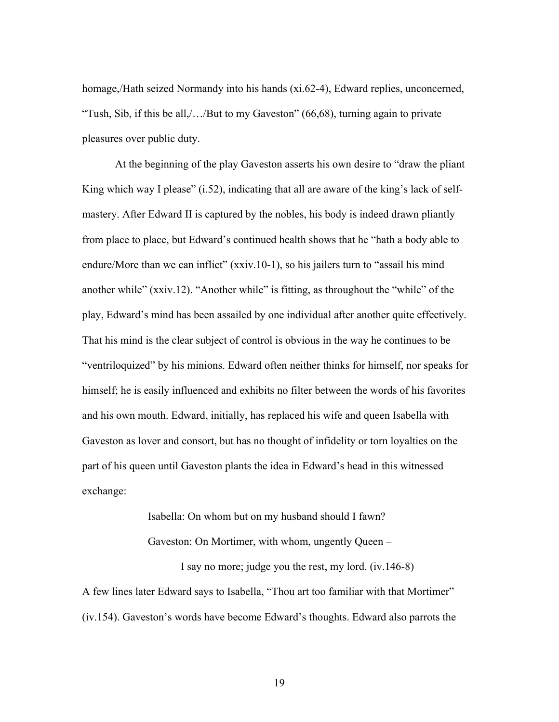homage,/Hath seized Normandy into his hands (xi.62-4), Edward replies, unconcerned, "Tush, Sib, if this be all,/…/But to my Gaveston" (66,68), turning again to private pleasures over public duty.

At the beginning of the play Gaveston asserts his own desire to "draw the pliant King which way I please" (i.52), indicating that all are aware of the king's lack of selfmastery. After Edward II is captured by the nobles, his body is indeed drawn pliantly from place to place, but Edward's continued health shows that he "hath a body able to endure/More than we can inflict" (xxiv.10-1), so his jailers turn to "assail his mind another while" (xxiv.12). "Another while" is fitting, as throughout the "while" of the play, Edward's mind has been assailed by one individual after another quite effectively. That his mind is the clear subject of control is obvious in the way he continues to be "ventriloquized" by his minions. Edward often neither thinks for himself, nor speaks for himself; he is easily influenced and exhibits no filter between the words of his favorites and his own mouth. Edward, initially, has replaced his wife and queen Isabella with Gaveston as lover and consort, but has no thought of infidelity or torn loyalties on the part of his queen until Gaveston plants the idea in Edward's head in this witnessed exchange:

> Isabella: On whom but on my husband should I fawn? Gaveston: On Mortimer, with whom, ungently Queen – I say no more; judge you the rest, my lord. (iv.146-8)

A few lines later Edward says to Isabella, "Thou art too familiar with that Mortimer" (iv.154). Gaveston's words have become Edward's thoughts. Edward also parrots the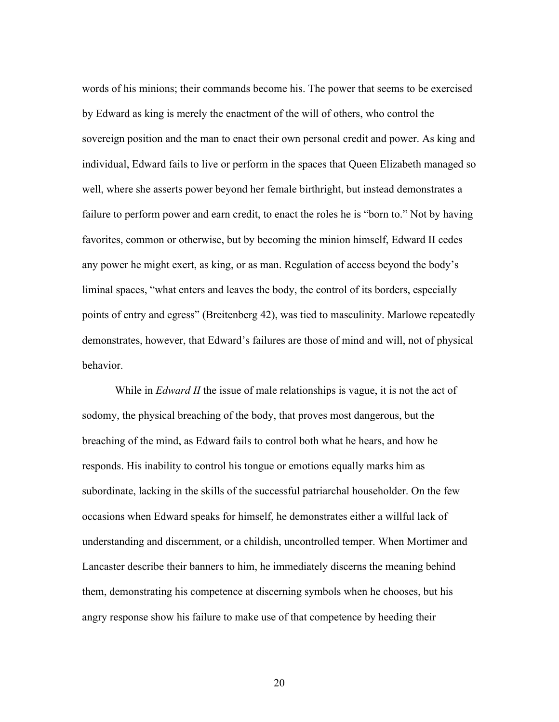words of his minions; their commands become his. The power that seems to be exercised by Edward as king is merely the enactment of the will of others, who control the sovereign position and the man to enact their own personal credit and power. As king and individual, Edward fails to live or perform in the spaces that Queen Elizabeth managed so well, where she asserts power beyond her female birthright, but instead demonstrates a failure to perform power and earn credit, to enact the roles he is "born to." Not by having favorites, common or otherwise, but by becoming the minion himself, Edward II cedes any power he might exert, as king, or as man. Regulation of access beyond the body's liminal spaces, "what enters and leaves the body, the control of its borders, especially points of entry and egress" (Breitenberg 42), was tied to masculinity. Marlowe repeatedly demonstrates, however, that Edward's failures are those of mind and will, not of physical behavior.

While in *Edward II* the issue of male relationships is vague, it is not the act of sodomy, the physical breaching of the body, that proves most dangerous, but the breaching of the mind, as Edward fails to control both what he hears, and how he responds. His inability to control his tongue or emotions equally marks him as subordinate, lacking in the skills of the successful patriarchal householder. On the few occasions when Edward speaks for himself, he demonstrates either a willful lack of understanding and discernment, or a childish, uncontrolled temper. When Mortimer and Lancaster describe their banners to him, he immediately discerns the meaning behind them, demonstrating his competence at discerning symbols when he chooses, but his angry response show his failure to make use of that competence by heeding their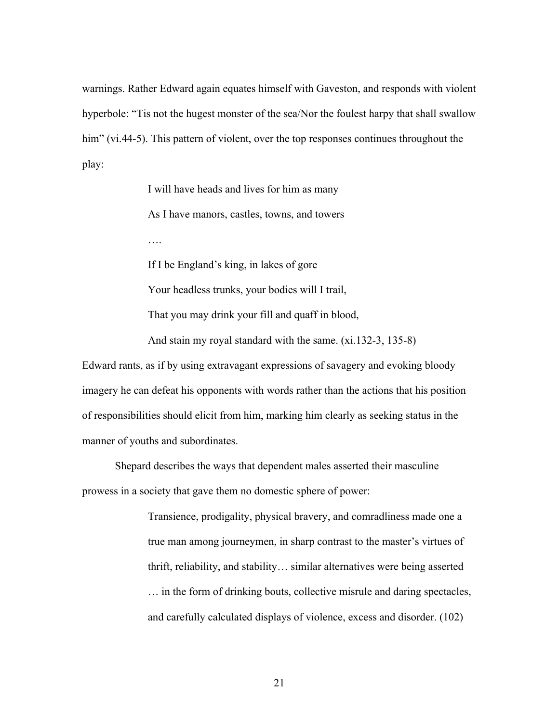warnings. Rather Edward again equates himself with Gaveston, and responds with violent hyperbole: "Tis not the hugest monster of the sea/Nor the foulest harpy that shall swallow him" (vi.44-5). This pattern of violent, over the top responses continues throughout the play:

> I will have heads and lives for him as many As I have manors, castles, towns, and towers ….

If I be England's king, in lakes of gore

Your headless trunks, your bodies will I trail,

That you may drink your fill and quaff in blood,

And stain my royal standard with the same. (xi.132-3, 135-8)

Edward rants, as if by using extravagant expressions of savagery and evoking bloody imagery he can defeat his opponents with words rather than the actions that his position of responsibilities should elicit from him, marking him clearly as seeking status in the manner of youths and subordinates.

Shepard describes the ways that dependent males asserted their masculine prowess in a society that gave them no domestic sphere of power:

> Transience, prodigality, physical bravery, and comradliness made one a true man among journeymen, in sharp contrast to the master's virtues of thrift, reliability, and stability… similar alternatives were being asserted … in the form of drinking bouts, collective misrule and daring spectacles, and carefully calculated displays of violence, excess and disorder. (102)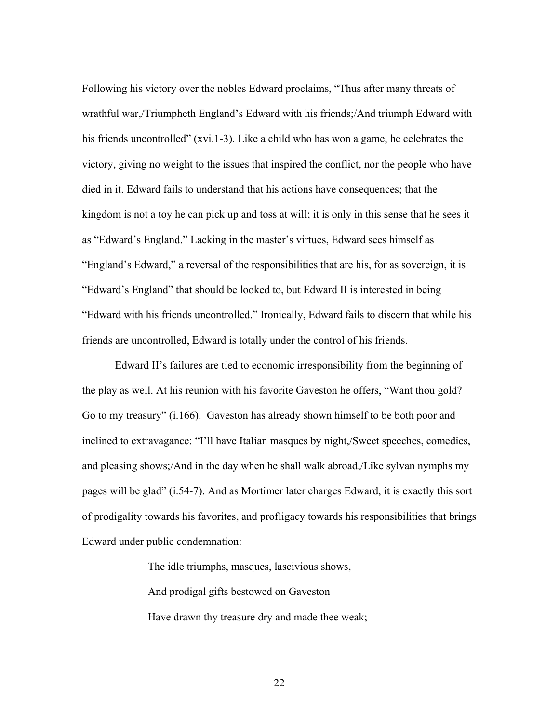Following his victory over the nobles Edward proclaims, "Thus after many threats of wrathful war,/Triumpheth England's Edward with his friends;/And triumph Edward with his friends uncontrolled" (xvi.1-3). Like a child who has won a game, he celebrates the victory, giving no weight to the issues that inspired the conflict, nor the people who have died in it. Edward fails to understand that his actions have consequences; that the kingdom is not a toy he can pick up and toss at will; it is only in this sense that he sees it as "Edward's England." Lacking in the master's virtues, Edward sees himself as "England's Edward," a reversal of the responsibilities that are his, for as sovereign, it is "Edward's England" that should be looked to, but Edward II is interested in being "Edward with his friends uncontrolled." Ironically, Edward fails to discern that while his friends are uncontrolled, Edward is totally under the control of his friends.

Edward II's failures are tied to economic irresponsibility from the beginning of the play as well. At his reunion with his favorite Gaveston he offers, "Want thou gold? Go to my treasury" (i.166). Gaveston has already shown himself to be both poor and inclined to extravagance: "I'll have Italian masques by night,/Sweet speeches, comedies, and pleasing shows;/And in the day when he shall walk abroad,/Like sylvan nymphs my pages will be glad" (i.54-7). And as Mortimer later charges Edward, it is exactly this sort of prodigality towards his favorites, and profligacy towards his responsibilities that brings Edward under public condemnation:

The idle triumphs, masques, lascivious shows,

And prodigal gifts bestowed on Gaveston

Have drawn thy treasure dry and made thee weak;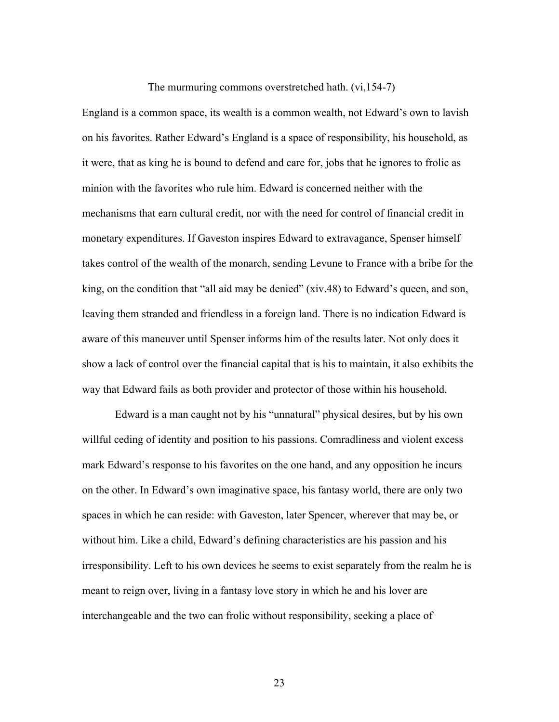The murmuring commons overstretched hath. (vi,154-7)

England is a common space, its wealth is a common wealth, not Edward's own to lavish on his favorites. Rather Edward's England is a space of responsibility, his household, as it were, that as king he is bound to defend and care for, jobs that he ignores to frolic as minion with the favorites who rule him. Edward is concerned neither with the mechanisms that earn cultural credit, nor with the need for control of financial credit in monetary expenditures. If Gaveston inspires Edward to extravagance, Spenser himself takes control of the wealth of the monarch, sending Levune to France with a bribe for the king, on the condition that "all aid may be denied" (xiv.48) to Edward's queen, and son, leaving them stranded and friendless in a foreign land. There is no indication Edward is aware of this maneuver until Spenser informs him of the results later. Not only does it show a lack of control over the financial capital that is his to maintain, it also exhibits the way that Edward fails as both provider and protector of those within his household.

Edward is a man caught not by his "unnatural" physical desires, but by his own willful ceding of identity and position to his passions. Comradliness and violent excess mark Edward's response to his favorites on the one hand, and any opposition he incurs on the other. In Edward's own imaginative space, his fantasy world, there are only two spaces in which he can reside: with Gaveston, later Spencer, wherever that may be, or without him. Like a child, Edward's defining characteristics are his passion and his irresponsibility. Left to his own devices he seems to exist separately from the realm he is meant to reign over, living in a fantasy love story in which he and his lover are interchangeable and the two can frolic without responsibility, seeking a place of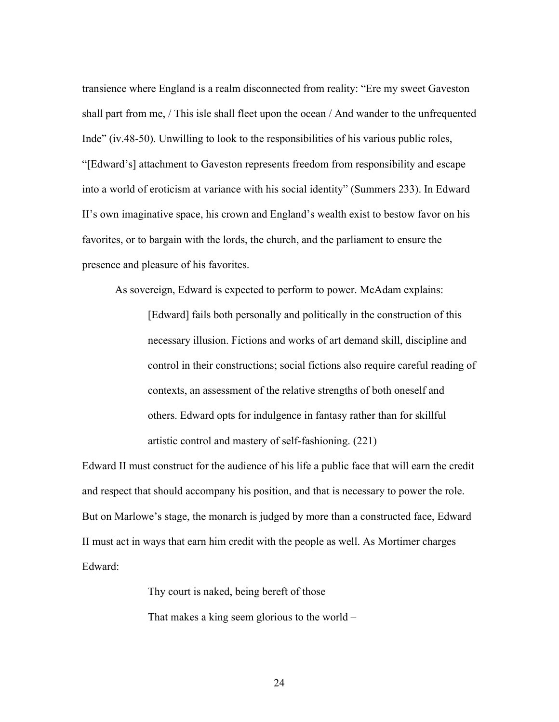transience where England is a realm disconnected from reality: "Ere my sweet Gaveston shall part from me, / This isle shall fleet upon the ocean / And wander to the unfrequented Inde" (iv.48-50). Unwilling to look to the responsibilities of his various public roles, "[Edward's] attachment to Gaveston represents freedom from responsibility and escape into a world of eroticism at variance with his social identity" (Summers 233). In Edward II's own imaginative space, his crown and England's wealth exist to bestow favor on his favorites, or to bargain with the lords, the church, and the parliament to ensure the presence and pleasure of his favorites.

As sovereign, Edward is expected to perform to power. McAdam explains:

[Edward] fails both personally and politically in the construction of this necessary illusion. Fictions and works of art demand skill, discipline and control in their constructions; social fictions also require careful reading of contexts, an assessment of the relative strengths of both oneself and others. Edward opts for indulgence in fantasy rather than for skillful artistic control and mastery of self-fashioning. (221)

Edward II must construct for the audience of his life a public face that will earn the credit and respect that should accompany his position, and that is necessary to power the role. But on Marlowe's stage, the monarch is judged by more than a constructed face, Edward II must act in ways that earn him credit with the people as well. As Mortimer charges Edward:

> Thy court is naked, being bereft of those That makes a king seem glorious to the world –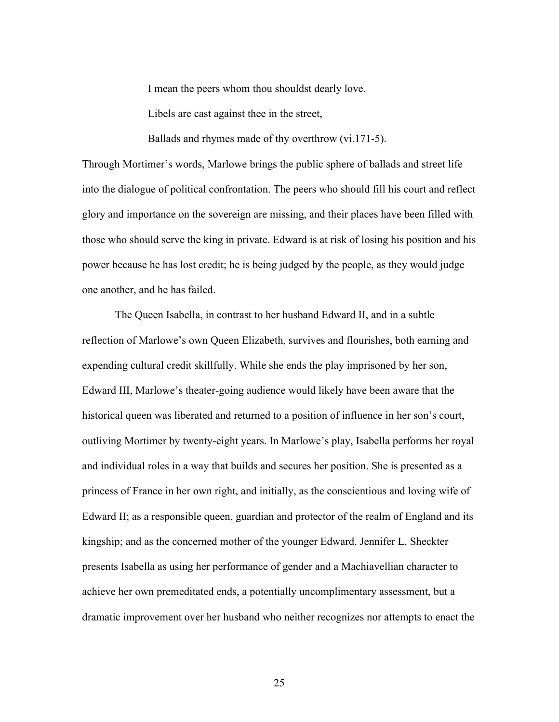I mean the peers whom thou shouldst dearly love.

Libels are cast against thee in the street,

Ballads and rhymes made of thy overthrow (vi.171-5).

Through Mortimer's words, Marlowe brings the public sphere of ballads and street life into the dialogue of political confrontation. The peers who should fill his court and reflect glory and importance on the sovereign are missing, and their places have been filled with those who should serve the king in private. Edward is at risk of losing his position and his power because he has lost credit; he is being judged by the people, as they would judge one another, and he has failed.

The Queen Isabella, in contrast to her husband Edward II, and in a subtle reflection of Marlowe's own Queen Elizabeth, survives and flourishes, both earning and expending cultural credit skillfully. While she ends the play imprisoned by her son, Edward III, Marlowe's theater-going audience would likely have been aware that the historical queen was liberated and returned to a position of influence in her son's court, outliving Mortimer by twenty-eight years. In Marlowe's play, Isabella performs her royal and individual roles in a way that builds and secures her position. She is presented as a princess of France in her own right, and initially, as the conscientious and loving wife of Edward II; as a responsible queen, guardian and protector of the realm of England and its kingship; and as the concerned mother of the younger Edward. Jennifer L. Sheckter presents Isabella as using her performance of gender and a Machiavellian character to achieve her own premeditated ends, a potentially uncomplimentary assessment, but a dramatic improvement over her husband who neither recognizes nor attempts to enact the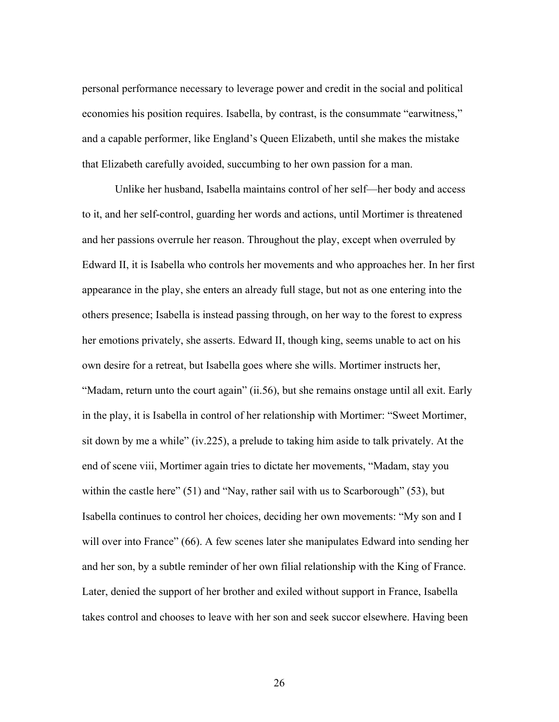personal performance necessary to leverage power and credit in the social and political economies his position requires. Isabella, by contrast, is the consummate "earwitness," and a capable performer, like England's Queen Elizabeth, until she makes the mistake that Elizabeth carefully avoided, succumbing to her own passion for a man.

Unlike her husband, Isabella maintains control of her self—her body and access to it, and her self-control, guarding her words and actions, until Mortimer is threatened and her passions overrule her reason. Throughout the play, except when overruled by Edward II, it is Isabella who controls her movements and who approaches her. In her first appearance in the play, she enters an already full stage, but not as one entering into the others presence; Isabella is instead passing through, on her way to the forest to express her emotions privately, she asserts. Edward II, though king, seems unable to act on his own desire for a retreat, but Isabella goes where she wills. Mortimer instructs her, "Madam, return unto the court again" (ii.56), but she remains onstage until all exit. Early in the play, it is Isabella in control of her relationship with Mortimer: "Sweet Mortimer, sit down by me a while" (iv.225), a prelude to taking him aside to talk privately. At the end of scene viii, Mortimer again tries to dictate her movements, "Madam, stay you within the castle here" (51) and "Nay, rather sail with us to Scarborough" (53), but Isabella continues to control her choices, deciding her own movements: "My son and I will over into France" (66). A few scenes later she manipulates Edward into sending her and her son, by a subtle reminder of her own filial relationship with the King of France. Later, denied the support of her brother and exiled without support in France, Isabella takes control and chooses to leave with her son and seek succor elsewhere. Having been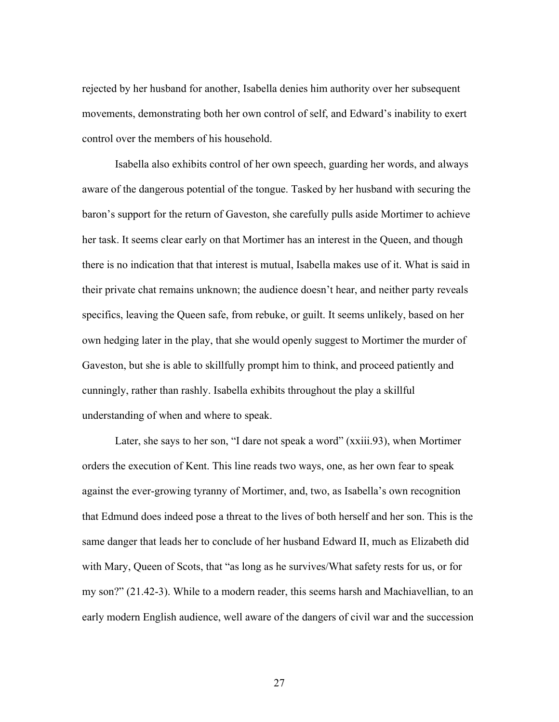rejected by her husband for another, Isabella denies him authority over her subsequent movements, demonstrating both her own control of self, and Edward's inability to exert control over the members of his household.

Isabella also exhibits control of her own speech, guarding her words, and always aware of the dangerous potential of the tongue. Tasked by her husband with securing the baron's support for the return of Gaveston, she carefully pulls aside Mortimer to achieve her task. It seems clear early on that Mortimer has an interest in the Queen, and though there is no indication that that interest is mutual, Isabella makes use of it. What is said in their private chat remains unknown; the audience doesn't hear, and neither party reveals specifics, leaving the Queen safe, from rebuke, or guilt. It seems unlikely, based on her own hedging later in the play, that she would openly suggest to Mortimer the murder of Gaveston, but she is able to skillfully prompt him to think, and proceed patiently and cunningly, rather than rashly. Isabella exhibits throughout the play a skillful understanding of when and where to speak.

Later, she says to her son, "I dare not speak a word" (xxiii.93), when Mortimer orders the execution of Kent. This line reads two ways, one, as her own fear to speak against the ever-growing tyranny of Mortimer, and, two, as Isabella's own recognition that Edmund does indeed pose a threat to the lives of both herself and her son. This is the same danger that leads her to conclude of her husband Edward II, much as Elizabeth did with Mary, Queen of Scots, that "as long as he survives/What safety rests for us, or for my son?" (21.42-3). While to a modern reader, this seems harsh and Machiavellian, to an early modern English audience, well aware of the dangers of civil war and the succession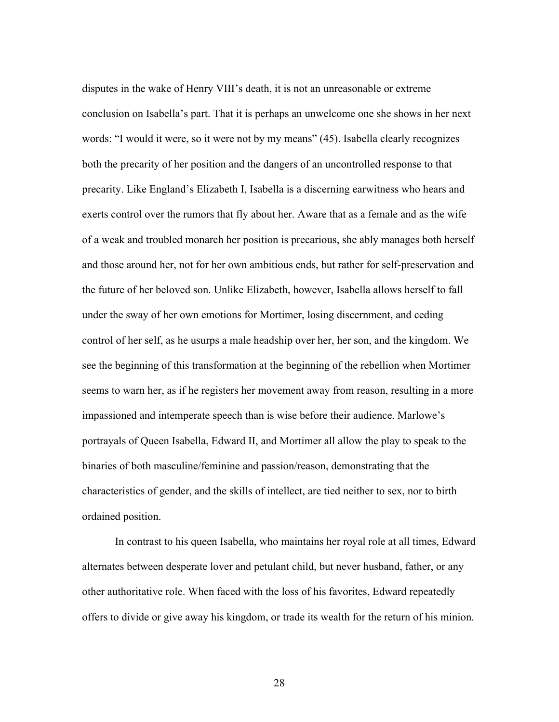disputes in the wake of Henry VIII's death, it is not an unreasonable or extreme conclusion on Isabella's part. That it is perhaps an unwelcome one she shows in her next words: "I would it were, so it were not by my means" (45). Isabella clearly recognizes both the precarity of her position and the dangers of an uncontrolled response to that precarity. Like England's Elizabeth I, Isabella is a discerning earwitness who hears and exerts control over the rumors that fly about her. Aware that as a female and as the wife of a weak and troubled monarch her position is precarious, she ably manages both herself and those around her, not for her own ambitious ends, but rather for self-preservation and the future of her beloved son. Unlike Elizabeth, however, Isabella allows herself to fall under the sway of her own emotions for Mortimer, losing discernment, and ceding control of her self, as he usurps a male headship over her, her son, and the kingdom. We see the beginning of this transformation at the beginning of the rebellion when Mortimer seems to warn her, as if he registers her movement away from reason, resulting in a more impassioned and intemperate speech than is wise before their audience. Marlowe's portrayals of Queen Isabella, Edward II, and Mortimer all allow the play to speak to the binaries of both masculine/feminine and passion/reason, demonstrating that the characteristics of gender, and the skills of intellect, are tied neither to sex, nor to birth ordained position.

In contrast to his queen Isabella, who maintains her royal role at all times, Edward alternates between desperate lover and petulant child, but never husband, father, or any other authoritative role. When faced with the loss of his favorites, Edward repeatedly offers to divide or give away his kingdom, or trade its wealth for the return of his minion.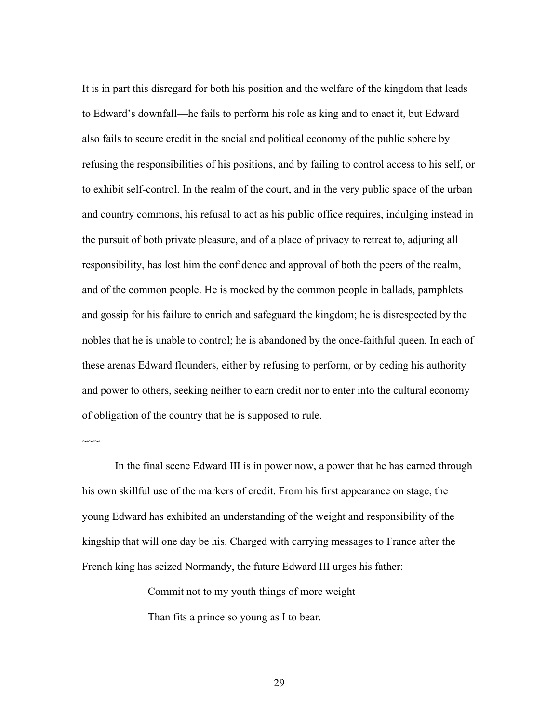It is in part this disregard for both his position and the welfare of the kingdom that leads to Edward's downfall—he fails to perform his role as king and to enact it, but Edward also fails to secure credit in the social and political economy of the public sphere by refusing the responsibilities of his positions, and by failing to control access to his self, or to exhibit self-control. In the realm of the court, and in the very public space of the urban and country commons, his refusal to act as his public office requires, indulging instead in the pursuit of both private pleasure, and of a place of privacy to retreat to, adjuring all responsibility, has lost him the confidence and approval of both the peers of the realm, and of the common people. He is mocked by the common people in ballads, pamphlets and gossip for his failure to enrich and safeguard the kingdom; he is disrespected by the nobles that he is unable to control; he is abandoned by the once-faithful queen. In each of these arenas Edward flounders, either by refusing to perform, or by ceding his authority and power to others, seeking neither to earn credit nor to enter into the cultural economy of obligation of the country that he is supposed to rule.

In the final scene Edward III is in power now, a power that he has earned through his own skillful use of the markers of credit. From his first appearance on stage, the young Edward has exhibited an understanding of the weight and responsibility of the kingship that will one day be his. Charged with carrying messages to France after the French king has seized Normandy, the future Edward III urges his father:

Commit not to my youth things of more weight

Than fits a prince so young as I to bear.

 $\sim$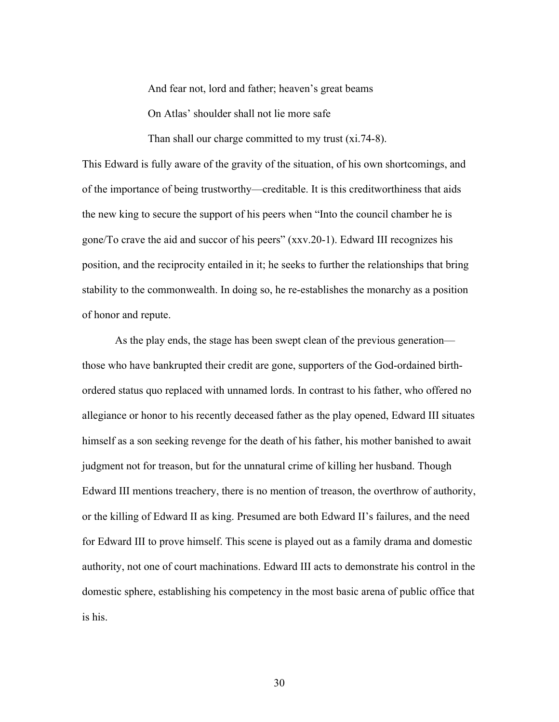And fear not, lord and father; heaven's great beams

On Atlas' shoulder shall not lie more safe

Than shall our charge committed to my trust (xi.74-8).

This Edward is fully aware of the gravity of the situation, of his own shortcomings, and of the importance of being trustworthy—creditable. It is this creditworthiness that aids the new king to secure the support of his peers when "Into the council chamber he is gone/To crave the aid and succor of his peers" (xxv.20-1). Edward III recognizes his position, and the reciprocity entailed in it; he seeks to further the relationships that bring stability to the commonwealth. In doing so, he re-establishes the monarchy as a position of honor and repute.

As the play ends, the stage has been swept clean of the previous generation those who have bankrupted their credit are gone, supporters of the God-ordained birthordered status quo replaced with unnamed lords. In contrast to his father, who offered no allegiance or honor to his recently deceased father as the play opened, Edward III situates himself as a son seeking revenge for the death of his father, his mother banished to await judgment not for treason, but for the unnatural crime of killing her husband. Though Edward III mentions treachery, there is no mention of treason, the overthrow of authority, or the killing of Edward II as king. Presumed are both Edward II's failures, and the need for Edward III to prove himself. This scene is played out as a family drama and domestic authority, not one of court machinations. Edward III acts to demonstrate his control in the domestic sphere, establishing his competency in the most basic arena of public office that is his.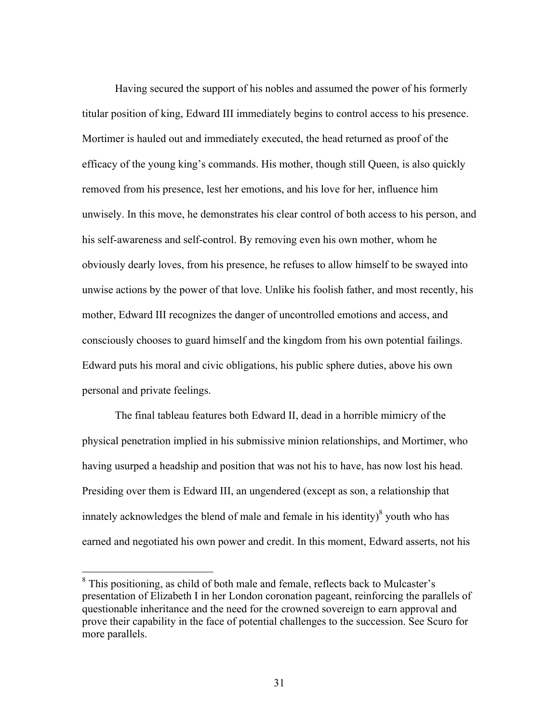Having secured the support of his nobles and assumed the power of his formerly titular position of king, Edward III immediately begins to control access to his presence. Mortimer is hauled out and immediately executed, the head returned as proof of the efficacy of the young king's commands. His mother, though still Queen, is also quickly removed from his presence, lest her emotions, and his love for her, influence him unwisely. In this move, he demonstrates his clear control of both access to his person, and his self-awareness and self-control. By removing even his own mother, whom he obviously dearly loves, from his presence, he refuses to allow himself to be swayed into unwise actions by the power of that love. Unlike his foolish father, and most recently, his mother, Edward III recognizes the danger of uncontrolled emotions and access, and consciously chooses to guard himself and the kingdom from his own potential failings. Edward puts his moral and civic obligations, his public sphere duties, above his own personal and private feelings.

The final tableau features both Edward II, dead in a horrible mimicry of the physical penetration implied in his submissive minion relationships, and Mortimer, who having usurped a headship and position that was not his to have, has now lost his head. Presiding over them is Edward III, an ungendered (except as son, a relationship that innately acknowledges the blend of male and female in his identity) $\delta$  youth who has earned and negotiated his own power and credit. In this moment, Edward asserts, not his

<sup>8</sup> This positioning, as child of both male and female, reflects back to Mulcaster's presentation of Elizabeth I in her London coronation pageant, reinforcing the parallels of questionable inheritance and the need for the crowned sovereign to earn approval and prove their capability in the face of potential challenges to the succession. See Scuro for more parallels.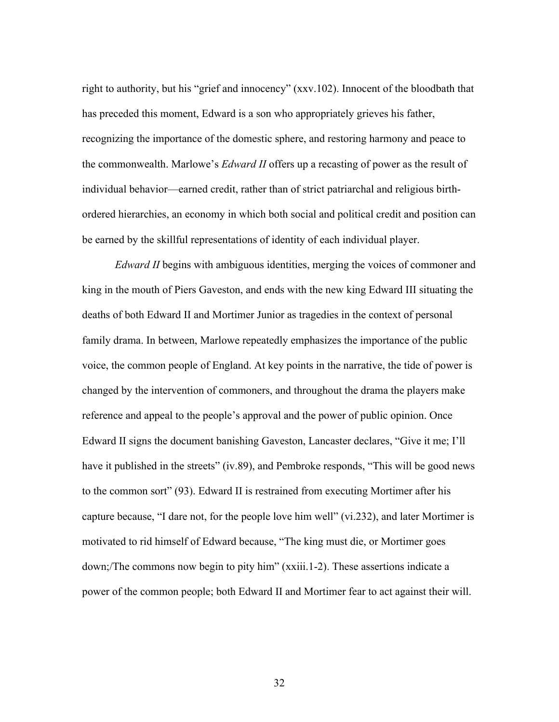right to authority, but his "grief and innocency" (xxv.102). Innocent of the bloodbath that has preceded this moment, Edward is a son who appropriately grieves his father, recognizing the importance of the domestic sphere, and restoring harmony and peace to the commonwealth. Marlowe's *Edward II* offers up a recasting of power as the result of individual behavior—earned credit, rather than of strict patriarchal and religious birthordered hierarchies, an economy in which both social and political credit and position can be earned by the skillful representations of identity of each individual player.

*Edward II* begins with ambiguous identities, merging the voices of commoner and king in the mouth of Piers Gaveston, and ends with the new king Edward III situating the deaths of both Edward II and Mortimer Junior as tragedies in the context of personal family drama. In between, Marlowe repeatedly emphasizes the importance of the public voice, the common people of England. At key points in the narrative, the tide of power is changed by the intervention of commoners, and throughout the drama the players make reference and appeal to the people's approval and the power of public opinion. Once Edward II signs the document banishing Gaveston, Lancaster declares, "Give it me; I'll have it published in the streets" (iv.89), and Pembroke responds, "This will be good news to the common sort" (93). Edward II is restrained from executing Mortimer after his capture because, "I dare not, for the people love him well" (vi.232), and later Mortimer is motivated to rid himself of Edward because, "The king must die, or Mortimer goes down;/The commons now begin to pity him" (xxiii.1-2). These assertions indicate a power of the common people; both Edward II and Mortimer fear to act against their will.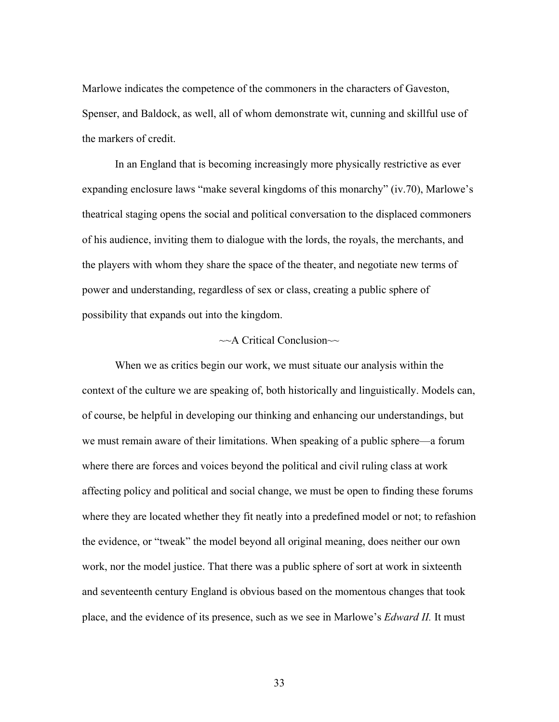Marlowe indicates the competence of the commoners in the characters of Gaveston, Spenser, and Baldock, as well, all of whom demonstrate wit, cunning and skillful use of the markers of credit.

In an England that is becoming increasingly more physically restrictive as ever expanding enclosure laws "make several kingdoms of this monarchy" (iv.70), Marlowe's theatrical staging opens the social and political conversation to the displaced commoners of his audience, inviting them to dialogue with the lords, the royals, the merchants, and the players with whom they share the space of the theater, and negotiate new terms of power and understanding, regardless of sex or class, creating a public sphere of possibility that expands out into the kingdom.

### $\sim$ A Critical Conclusion $\sim$

When we as critics begin our work, we must situate our analysis within the context of the culture we are speaking of, both historically and linguistically. Models can, of course, be helpful in developing our thinking and enhancing our understandings, but we must remain aware of their limitations. When speaking of a public sphere—a forum where there are forces and voices beyond the political and civil ruling class at work affecting policy and political and social change, we must be open to finding these forums where they are located whether they fit neatly into a predefined model or not; to refashion the evidence, or "tweak" the model beyond all original meaning, does neither our own work, nor the model justice. That there was a public sphere of sort at work in sixteenth and seventeenth century England is obvious based on the momentous changes that took place, and the evidence of its presence, such as we see in Marlowe's *Edward II.* It must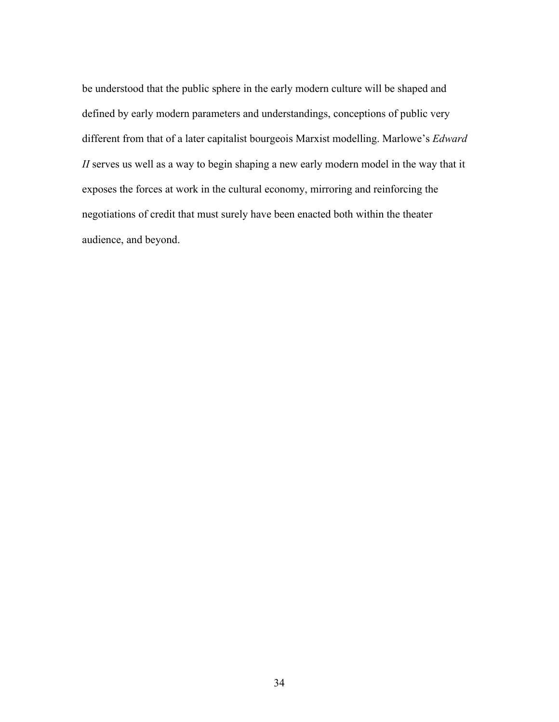be understood that the public sphere in the early modern culture will be shaped and defined by early modern parameters and understandings, conceptions of public very different from that of a later capitalist bourgeois Marxist modelling. Marlowe's *Edward II* serves us well as a way to begin shaping a new early modern model in the way that it exposes the forces at work in the cultural economy, mirroring and reinforcing the negotiations of credit that must surely have been enacted both within the theater audience, and beyond.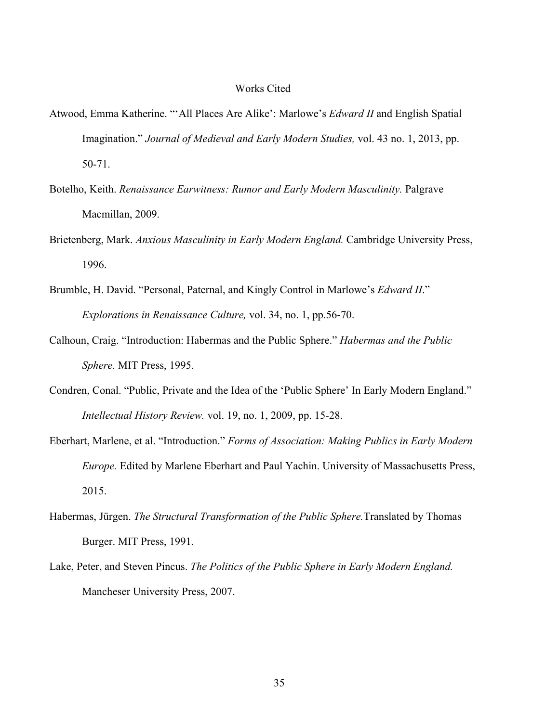### Works Cited

- Atwood, Emma Katherine. "'All Places Are Alike': Marlowe's *Edward II* and English Spatial Imagination." *Journal of Medieval and Early Modern Studies,* vol. 43 no. 1, 2013, pp. 50-71.
- Botelho, Keith. *Renaissance Earwitness: Rumor and Early Modern Masculinity.* Palgrave Macmillan, 2009.
- Brietenberg, Mark. *Anxious Masculinity in Early Modern England.* Cambridge University Press, 1996.
- Brumble, H. David. "Personal, Paternal, and Kingly Control in Marlowe's *Edward II*." *Explorations in Renaissance Culture,* vol. 34, no. 1, pp.56-70.
- Calhoun, Craig. "Introduction: Habermas and the Public Sphere." *Habermas and the Public Sphere.* MIT Press, 1995.
- Condren, Conal. "Public, Private and the Idea of the 'Public Sphere' In Early Modern England." *Intellectual History Review.* vol. 19, no. 1, 2009, pp. 15-28.
- Eberhart, Marlene, et al. "Introduction." *Forms of Association: Making Publics in Early Modern Europe.* Edited by Marlene Eberhart and Paul Yachin. University of Massachusetts Press, 2015.
- Habermas, Jürgen. *The Structural Transformation of the Public Sphere.*Translated by Thomas Burger. MIT Press, 1991.
- Lake, Peter, and Steven Pincus. *The Politics of the Public Sphere in Early Modern England.*  Mancheser University Press, 2007.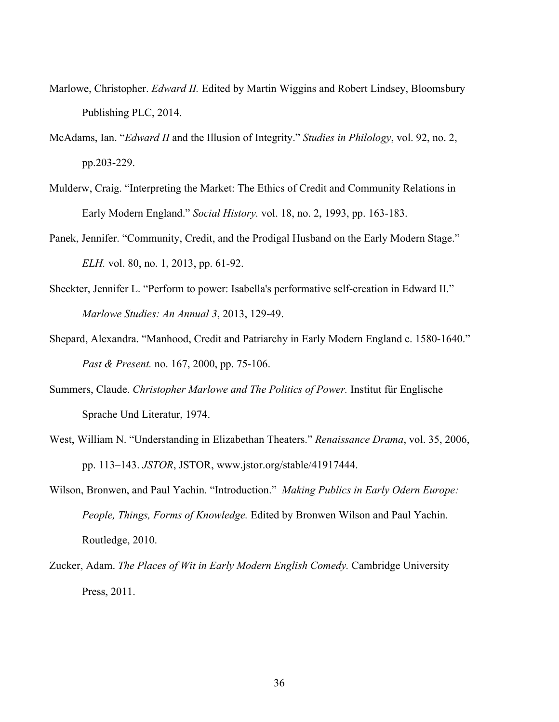- Marlowe, Christopher. *Edward II.* Edited by Martin Wiggins and Robert Lindsey, Bloomsbury Publishing PLC, 2014.
- McAdams, Ian. "*Edward II* and the Illusion of Integrity." *Studies in Philology*, vol. 92, no. 2, pp.203-229.
- Mulderw, Craig. "Interpreting the Market: The Ethics of Credit and Community Relations in Early Modern England." *Social History.* vol. 18, no. 2, 1993, pp. 163-183.
- Panek, Jennifer. "Community, Credit, and the Prodigal Husband on the Early Modern Stage." *ELH.* vol. 80, no. 1, 2013, pp. 61-92.
- Sheckter, Jennifer L. "Perform to power: Isabella's performative self-creation in Edward II." *Marlowe Studies: An Annual 3*, 2013, 129-49.
- Shepard, Alexandra. "Manhood, Credit and Patriarchy in Early Modern England c. 1580-1640." *Past & Present.* no. 167, 2000, pp. 75-106.
- Summers, Claude. *Christopher Marlowe and The Politics of Power.* Institut für Englische Sprache Und Literatur, 1974.
- West, William N. "Understanding in Elizabethan Theaters." *Renaissance Drama*, vol. 35, 2006, pp. 113–143. *JSTOR*, JSTOR, www.jstor.org/stable/41917444.
- Wilson, Bronwen, and Paul Yachin. "Introduction." *Making Publics in Early Odern Europe: People, Things, Forms of Knowledge.* Edited by Bronwen Wilson and Paul Yachin. Routledge, 2010.
- Zucker, Adam. *The Places of Wit in Early Modern English Comedy.* Cambridge University Press, 2011.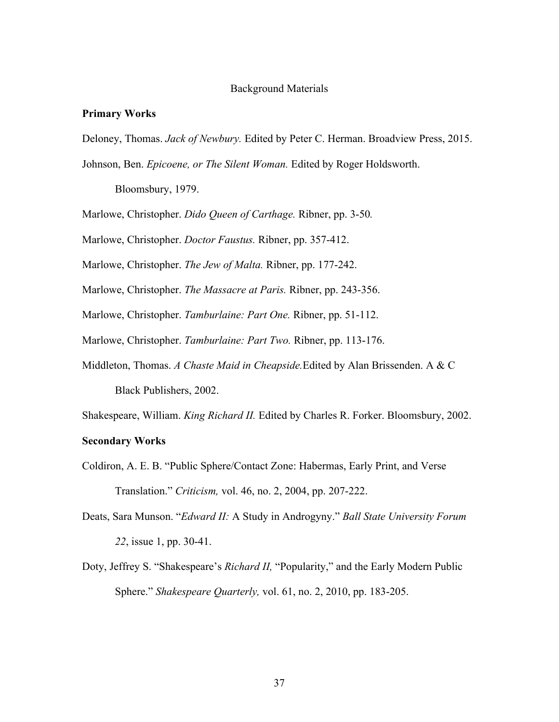#### Background Materials

#### **Primary Works**

- Deloney, Thomas. *Jack of Newbury.* Edited by Peter C. Herman. Broadview Press, 2015.
- Johnson, Ben. *Epicoene, or The Silent Woman.* Edited by Roger Holdsworth.

Bloomsbury, 1979.

Marlowe, Christopher. *Dido Queen of Carthage.* Ribner, pp. 3-50*.* 

Marlowe, Christopher. *Doctor Faustus.* Ribner, pp. 357-412.

Marlowe, Christopher. *The Jew of Malta.* Ribner, pp. 177-242.

Marlowe, Christopher. *The Massacre at Paris.* Ribner, pp. 243-356.

Marlowe, Christopher. *Tamburlaine: Part One.* Ribner, pp. 51-112.

Marlowe, Christopher. *Tamburlaine: Part Two.* Ribner, pp. 113-176.

Middleton, Thomas. *A Chaste Maid in Cheapside.*Edited by Alan Brissenden. A & C Black Publishers, 2002.

Shakespeare, William. *King Richard II.* Edited by Charles R. Forker. Bloomsbury, 2002.

### **Secondary Works**

- Coldiron, A. E. B. "Public Sphere/Contact Zone: Habermas, Early Print, and Verse Translation." *Criticism,* vol. 46, no. 2, 2004, pp. 207-222.
- Deats, Sara Munson. "*Edward II:* A Study in Androgyny." *Ball State University Forum 22*, issue 1, pp. 30-41.
- Doty, Jeffrey S. "Shakespeare's *Richard II,* "Popularity," and the Early Modern Public Sphere." *Shakespeare Quarterly,* vol. 61, no. 2, 2010, pp. 183-205.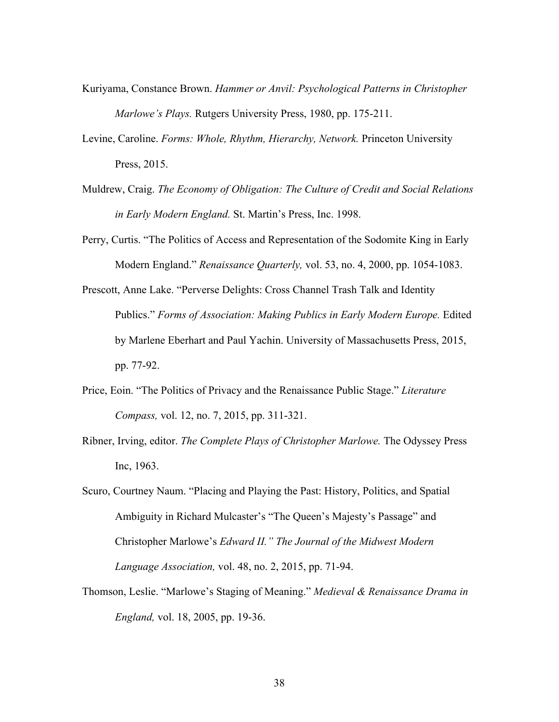- Kuriyama, Constance Brown. *Hammer or Anvil: Psychological Patterns in Christopher Marlowe's Plays.* Rutgers University Press, 1980, pp. 175-211.
- Levine, Caroline. *Forms: Whole, Rhythm, Hierarchy, Network.* Princeton University Press, 2015.
- Muldrew, Craig. *The Economy of Obligation: The Culture of Credit and Social Relations in Early Modern England.* St. Martin's Press, Inc. 1998.
- Perry, Curtis. "The Politics of Access and Representation of the Sodomite King in Early Modern England." *Renaissance Quarterly,* vol. 53, no. 4, 2000, pp. 1054-1083.
- Prescott, Anne Lake. "Perverse Delights: Cross Channel Trash Talk and Identity Publics." Forms of Association: Making Publics in Early Modern Europe. Edited by Marlene Eberhart and Paul Yachin. University of Massachusetts Press, 2015, pp. 77-92.
- Price, Eoin. "The Politics of Privacy and the Renaissance Public Stage." *Literature Compass,* vol. 12, no. 7, 2015, pp. 311-321.
- Ribner, Irving, editor. *The Complete Plays of Christopher Marlowe.* The Odyssey Press Inc, 1963.
- Scuro, Courtney Naum. "Placing and Playing the Past: History, Politics, and Spatial Ambiguity in Richard Mulcaster's "The Queen's Majesty's Passage" and Christopher Marlowe's *Edward II." The Journal of the Midwest Modern Language Association,* vol. 48, no. 2, 2015, pp. 71-94.
- Thomson, Leslie. "Marlowe's Staging of Meaning." *Medieval & Renaissance Drama in England,* vol. 18, 2005, pp. 19-36.